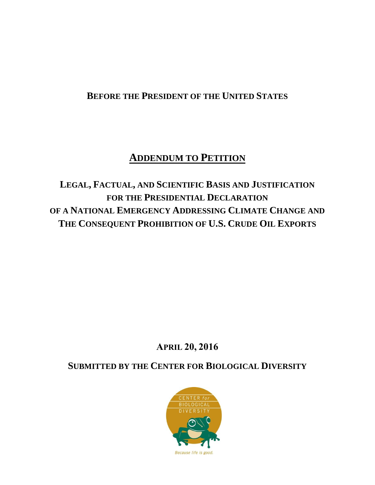# **BEFORE THE PRESIDENT OF THE UNITED STATES**

# **ADDENDUM TO PETITION**

**LEGAL, FACTUAL, AND SCIENTIFIC BASIS AND JUSTIFICATION FOR THE PRESIDENTIAL DECLARATION OF A NATIONAL EMERGENCY ADDRESSING CLIMATE CHANGE AND THE CONSEQUENT PROHIBITION OF U.S. CRUDE OIL EXPORTS**

# **APRIL 20, 2016**

**SUBMITTED BY THE CENTER FOR BIOLOGICAL DIVERSITY**

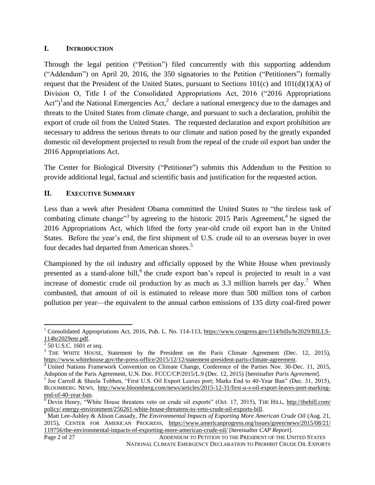## **I. INTRODUCTION**

Through the legal petition ("Petition") filed concurrently with this supporting addendum ("Addendum") on April 20, 2016, the 350 signatories to the Petition ("Petitioners") formally request that the President of the United States, pursuant to Sections  $101(c)$  and  $101(d)(1)(A)$  of Division O, Title I of the Consolidated Appropriations Act, 2016 ("2016 Appropriations Act")<sup>1</sup> and the National Emergencies Act,<sup>2</sup> declare a national emergency due to the damages and threats to the United States from climate change, and pursuant to such a declaration, prohibit the export of crude oil from the United States. The requested declaration and export prohibition are necessary to address the serious threats to our climate and nation posed by the greatly expanded domestic oil development projected to result from the repeal of the crude oil export ban under the 2016 Appropriations Act.

The Center for Biological Diversity ("Petitioner") submits this Addendum to the Petition to provide additional legal, factual and scientific basis and justification for the requested action.

## **II. EXECUTIVE SUMMARY**

Less than a week after President Obama committed the United States to "the tireless task of combating climate change<sup>33</sup> by agreeing to the historic 2015 Paris Agreement,<sup>4</sup> he signed the 2016 Appropriations Act, which lifted the forty year-old crude oil export ban in the United States. Before the year's end, the first shipment of U.S. crude oil to an overseas buyer in over four decades had departed from American shores.<sup>5</sup>

Championed by the oil industry and officially opposed by the White House when previously presented as a stand-alone bill,<sup>6</sup> the crude export ban's repeal is projected to result in a vast increase of domestic crude oil production by as much as  $3.3$  million barrels per day.<sup>7</sup> When combusted, that amount of oil is estimated to release more than 500 million tons of carbon pollution per year—the equivalent to the annual carbon emissions of 135 dirty coal-fired power

l

<sup>&</sup>lt;sup>1</sup> Consolidated Appropriations Act, 2016, Pub. L. No. 114-113, [https://www.congress.gov/114/bills/hr2029/BILLS-](https://www.congress.gov/114/bills/hr2029/BILLS-114hr2029enr.pdf)[114hr2029enr.pdf.](https://www.congress.gov/114/bills/hr2029/BILLS-114hr2029enr.pdf) 2 50 U.S.C. 1601 *et seq*.

<sup>&</sup>lt;sup>3</sup> THE WHITE HOUSE, Statement by the President on the Paris Climate Agreement (Dec. 12, 2015), [https://www.whitehouse.gov/the-press-office/2015/12/12/statement-president-paris-climate-agreement.](https://www.whitehouse.gov/the-press-office/2015/12/12/statement-president-paris-climate-agreement)

<sup>&</sup>lt;sup>4</sup> United Nations Framework Convention on Climate Change, Conference of the Parties Nov. 30-Dec. 11, 2015, Adoption of the Paris Agreement, U.N. Doc. FCCC/CP/2015/L.9 (Dec. 12, 2015) [hereinafter *Paris Agreement*].<br><sup>5</sup> Joe Carroll & Sheela Tobben, "First U.S. Oil Export Leaves port; Marks End to 40-Year Ban" (Dec. 31, 2015),

BLOOMBERG NEWS, http://www.bloomberg.com/news/articles/2015-12-31/first-u-s-oil-export-leaves-port-markingend-of-40-year-ban.

<sup>6</sup> Devin Henry, "White House threatens veto on crude oil exports" (Oct. 17, 2015), THE HILL, http://thehill.com/ policy/ energy-environment/256261-white-house-threatens-to-veto-crude-oil-exports-bill.

<sup>7</sup> Matt Lee-Ashley & Alison Cassady, *The Environmental Impacts of Exporting More American Crude Oil* (Aug. 21, 2015), CENTER FOR AMERICAN PROGRESS, https://www.americanprogress.org/issues/green/news/2015/08/21/ 119756/the-environmental-impacts-of-exporting-more-american-crude-oil/ [hereinafter *CAP Report*].

Page 2 of 27 ADDENDUM TO PETITION TO THE PRESIDENT OF THE UNITED STATES NATIONAL CLIMATE EMERGENCY DECLARATION TO PROHIBIT CRUDE OIL EXPORTS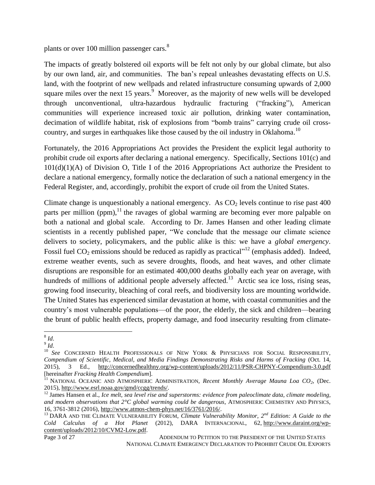plants or over 100 million passenger cars.<sup>8</sup>

The impacts of greatly bolstered oil exports will be felt not only by our global climate, but also by our own land, air, and communities. The ban's repeal unleashes devastating effects on U.S. land, with the footprint of new wellpads and related infrastructure consuming upwards of 2,000 square miles over the next 15 years.<sup>9</sup> Moreover, as the majority of new wells will be developed through unconventional, ultra-hazardous hydraulic fracturing ("fracking"), American communities will experience increased toxic air pollution, drinking water contamination, decimation of wildlife habitat, risk of explosions from "bomb trains" carrying crude oil crosscountry, and surges in earthquakes like those caused by the oil industry in Oklahoma.<sup>10</sup>

Fortunately, the 2016 Appropriations Act provides the President the explicit legal authority to prohibit crude oil exports after declaring a national emergency. Specifically, Sections 101(c) and 101(d)(1)(A) of Division O, Title I of the 2016 Appropriations Act authorize the President to declare a national emergency, formally notice the declaration of such a national emergency in the Federal Register, and, accordingly, prohibit the export of crude oil from the United States.

Climate change is unquestionably a national emergency. As  $CO<sub>2</sub>$  levels continue to rise past 400 parts per million (ppm), $^{11}$  the ravages of global warming are becoming ever more palpable on both a national and global scale. According to Dr. James Hansen and other leading climate scientists in a recently published paper, "We conclude that the message our climate science delivers to society, policymakers, and the public alike is this: we have a *global emergency*. Fossil fuel  $CO_2$  emissions should be reduced as rapidly as practical"<sup>12</sup> (emphasis added). Indeed, extreme weather events, such as severe droughts, floods, and heat waves, and other climate disruptions are responsible for an estimated 400,000 deaths globally each year on average, with hundreds of millions of additional people adversely affected.<sup>13</sup> Arctic sea ice loss, rising seas, growing food insecurity, bleaching of coral reefs, and biodiversity loss are mounting worldwide. The United States has experienced similar devastation at home, with coastal communities and the country's most vulnerable populations—of the poor, the elderly, the sick and children—bearing the brunt of public health effects, property damage, and food insecurity resulting from climate-

Page 3 of 27 ADDENDUM TO PETITION TO THE PRESIDENT OF THE UNITED STATES NATIONAL CLIMATE EMERGENCY DECLARATION TO PROHIBIT CRUDE OIL EXPORTS

 8 *Id*.

<sup>9</sup> *Id*.

<sup>10</sup> *See* CONCERNED HEALTH PROFESSIONALS OF NEW YORK & PHYSICIANS FOR SOCIAL RESPONSIBILITY*, Compendium of Scientific, Medical, and Media Findings Demonstrating Risks and Harms of Fracking* (Oct. 14, 2015), 3 Ed., http://concernedhealthny.org/wp-content/uploads/2012/11/PSR-CHPNY-Compendium-3.0.pdf [hereinafter *Fracking Health Compendium*].

<sup>&</sup>lt;sup>11</sup> NATIONAL OCEANIC AND ATMOSPHERIC ADMINISTRATION, *Recent Monthly Average Mauna Loa CO*<sub>2</sub>, (Dec. 2015), http://www.esrl.noaa.gov/gmd/ccgg/trends/.

<sup>&</sup>lt;sup>12</sup> James Hansen et al., *Ice melt, sea level rise and superstorms: evidence from paleoclimate data, climate modeling, and modern observations that 2°C global warming could be dangerous*, ATMOSPHERIC CHEMISTRY AND PHYSICS, 16, 3761-3812 (2016), http://www.atmos-chem-phys.net/16/3761/2016/.

<sup>&</sup>lt;sup>13</sup> DARA AND THE CLIMATE VULNERABILITY FORUM, *Climate Vulnerability Monitor*,  $2^{nd}$  *Edition: A Guide to the Cold Calculus of a Hot Planet* (2012)*,* DARA INTERNACIONAL, 62, http://www.daraint.org/wpcontent/uploads/2012/10/CVM2-Low.pdf.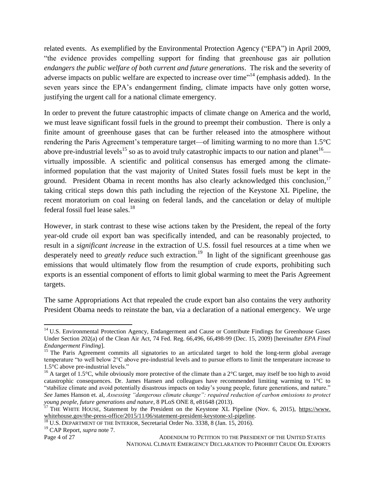related events. As exemplified by the Environmental Protection Agency ("EPA") in April 2009, "the evidence provides compelling support for finding that greenhouse gas air pollution *endangers the public welfare of both current and future generations*. The risk and the severity of adverse impacts on public welfare are expected to increase over time"<sup>14</sup> (emphasis added). In the seven years since the EPA's endangerment finding, climate impacts have only gotten worse, justifying the urgent call for a national climate emergency.

In order to prevent the future catastrophic impacts of climate change on America and the world, we must leave significant fossil fuels in the ground to preempt their combustion. There is only a finite amount of greenhouse gases that can be further released into the atmosphere without rendering the Paris Agreement's temperature target—of limiting warming to no more than 1.5°C above pre-industrial levels<sup>15</sup> so as to avoid truly catastrophic impacts to our nation and planet<sup>16</sup> virtually impossible. A scientific and political consensus has emerged among the climateinformed population that the vast majority of United States fossil fuels must be kept in the ground. President Obama in recent months has also clearly acknowledged this conclusion,<sup>17</sup> taking critical steps down this path including the rejection of the Keystone XL Pipeline, the recent moratorium on coal leasing on federal lands, and the cancelation or delay of multiple federal fossil fuel lease sales.<sup>18</sup>

However, in stark contrast to these wise actions taken by the President, the repeal of the forty year-old crude oil export ban was specifically intended, and can be reasonably projected, to result in a *significant increase* in the extraction of U.S. fossil fuel resources at a time when we desperately need to *greatly reduce* such extraction.<sup>19</sup> In light of the significant greenhouse gas emissions that would ultimately flow from the resumption of crude exports, prohibiting such exports is an essential component of efforts to limit global warming to meet the Paris Agreement targets.

The same Appropriations Act that repealed the crude export ban also contains the very authority President Obama needs to reinstate the ban, via a declaration of a national emergency. We urge

<sup>19</sup> CAP Report, *supra* note 7.

Page 4 of 27 ADDENDUM TO PETITION TO THE PRESIDENT OF THE UNITED STATES NATIONAL CLIMATE EMERGENCY DECLARATION TO PROHIBIT CRUDE OIL EXPORTS

l <sup>14</sup> U.S. Environmental Protection Agency, Endangerment and Cause or Contribute Findings for Greenhouse Gases Under Section 202(a) of the Clean Air Act, 74 Fed. Reg. 66,496, 66,498-99 (Dec. 15, 2009) [hereinafter *EPA Final Endangerment Finding*].

<sup>&</sup>lt;sup>15</sup> The Paris Agreement commits all signatories to an articulated target to hold the long-term global average temperature "to well below 2°C above pre-industrial levels and to pursue efforts to limit the temperature increase to 1.5°C above pre-industrial levels."

<sup>&</sup>lt;sup>16</sup> A target of 1.5°C, while obviously more protective of the climate than a 2°C target, may itself be too high to avoid catastrophic consequences. Dr. James Hansen and colleagues have recommended limiting warming to 1°C to "stabilize climate and avoid potentially disastrous impacts on today's young people, future generations, and nature." *See* James Hanson et. al, *Assessing "dangerous climate change": required reduction of carbon emissions to protect young people, future generations and nature*, 8 PLoS ONE 8, e81648 (2013).

<sup>&</sup>lt;sup>17</sup> THE WHITE HOUSE, Statement by the President on the Keystone XL Pipeline (Nov. 6, 2015), [https://www.](https://www/) whitehouse.gov/the-press-office/2015/11/06/statement-president-keystone-xl-pipeline.

<sup>&</sup>lt;sup>18</sup> U.S. DEPARTMENT OF THE INTERIOR, Secretarial Order No. 3338, 8 (Jan. 15, 2016).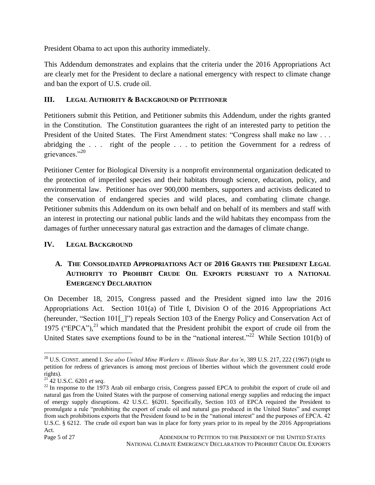President Obama to act upon this authority immediately.

This Addendum demonstrates and explains that the criteria under the 2016 Appropriations Act are clearly met for the President to declare a national emergency with respect to climate change and ban the export of U.S. crude oil.

## **III. LEGAL AUTHORITY & BACKGROUND OF PETITIONER**

Petitioners submit this Petition, and Petitioner submits this Addendum, under the rights granted in the Constitution. The Constitution guarantees the right of an interested party to petition the President of the United States. The First Amendment states: "Congress shall make no law . . . abridging the . . . right of the people . . . to petition the Government for a redress of grievances."<sup>20</sup>

Petitioner Center for Biological Diversity is a nonprofit environmental organization dedicated to the protection of imperiled species and their habitats through science, education, policy, and environmental law. Petitioner has over 900,000 members, supporters and activists dedicated to the conservation of endangered species and wild places, and combating climate change. Petitioner submits this Addendum on its own behalf and on behalf of its members and staff with an interest in protecting our national public lands and the wild habitats they encompass from the damages of further unnecessary natural gas extraction and the damages of climate change.

## **IV. LEGAL BACKGROUND**

## **A. THE CONSOLIDATED APPROPRIATIONS ACT OF 2016 GRANTS THE PRESIDENT LEGAL AUTHORITY TO PROHIBIT CRUDE OIL EXPORTS PURSUANT TO A NATIONAL EMERGENCY DECLARATION**

On December 18, 2015, Congress passed and the President signed into law the 2016 Appropriations Act. Section 101(a) of Title I, Division O of the 2016 Appropriations Act (hereunder, "Section 101[\_]") repeals Section 103 of the Energy Policy and Conservation Act of 1975 ("EPCA"), $^{21}$  which mandated that the President prohibit the export of crude oil from the United States save exemptions found to be in the "national interest."<sup>22</sup> While Section 101(b) of

l <sup>20</sup> U.S. CONST. amend I. *See also United Mine Workers v. Illinois State Bar Ass'n*, 389 U.S. 217, 222 (1967) (right to petition for redress of grievances is among most precious of liberties without which the government could erode rights).

<sup>21</sup> 42 U.S.C. 6201 *et seq*.

 $^{22}$  In response to the 1973 Arab oil embargo crisis, Congress passed EPCA to prohibit the export of crude oil and natural gas from the United States with the purpose of conserving national energy supplies and reducing the impact of energy supply disruptions. 42 U.S.C. §6201. Specifically, Section 103 of EPCA required the President to promulgate a rule "prohibiting the export of crude oil and natural gas produced in the United States" and exempt from such prohibitions exports that the President found to be in the "national interest" and the purposes of EPCA. 42 U.S.C. § 6212. The crude oil export ban was in place for forty years prior to its repeal by the 2016 Appropriations Act.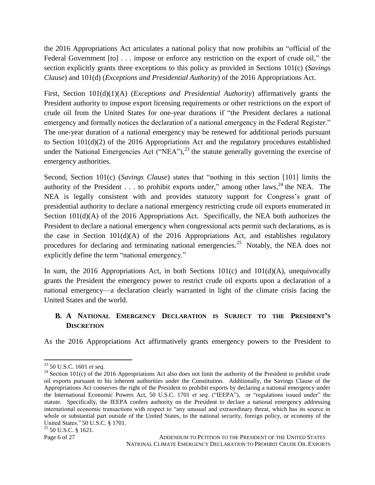the 2016 Appropriations Act articulates a national policy that now prohibits an "official of the Federal Government [to] . . . impose or enforce any restriction on the export of crude oil," the section explicitly grants three exceptions to this policy as provided in Sections 101(c) (*Savings Clause*) and 101(d) (*Exceptions and Presidential Authority*) of the 2016 Appropriations Act.

First, Section 101(d)(1)(A) (*Exceptions and Presidential Authority*) affirmatively grants the President authority to impose export licensing requirements or other restrictions on the export of crude oil from the United States for one-year durations if "the President declares a national emergency and formally notices the declaration of a national emergency in the Federal Register." The one-year duration of a national emergency may be renewed for additional periods pursuant to Section 101(d)(2) of the 2016 Appropriations Act and the regulatory procedures established under the National Emergencies Act ("NEA"), $^{23}$  the statute generally governing the exercise of emergency authorities.

Second, Section 101(c) (*Savings Clause*) states that "nothing in this section [101] limits the authority of the President . . . to prohibit exports under," among other laws,  $24$  the NEA. The NEA is legally consistent with and provides statutory support for Congress's grant of presidential authority to declare a national emergency restricting crude oil exports enumerated in Section 101(d)(A) of the 2016 Appropriations Act. Specifically, the NEA both authorizes the President to declare a national emergency when congressional acts permit such declarations, as is the case in Section 101(d)(A) of the 2016 Appropriations Act, and establishes regulatory procedures for declaring and terminating national emergencies.<sup>25</sup> Notably, the NEA does not explicitly define the term "national emergency."

In sum, the 2016 Appropriations Act, in both Sections  $101(c)$  and  $101(d)(A)$ , unequivocally grants the President the emergency power to restrict crude oil exports upon a declaration of a national emergency—a declaration clearly warranted in light of the climate crisis facing the United States and the world.

## **B. A NATIONAL EMERGENCY DECLARATION IS SUBJECT TO THE PRESIDENT'S DISCRETION**

As the 2016 Appropriations Act affirmatively grants emergency powers to the President to

<sup>23</sup> 50 U.S.C. 1601 *et seq*.

 $24$  Section 101(c) of the 2016 Appropriations Act also does not limit the authority of the President to prohibit crude oil exports pursuant to his inherent authorities under the Constitution. Additionally, the Savings Clause of the Appropriations Act conserves the right of the President to prohibit exports by declaring a national emergency under the International Economic Powers Act, 50 U.S.C. 1701 *et seq*. ("IEEPA"), or "regulations issued under" the statute. Specifically, the IEEPA confers authority on the President to declare a national emergency addressing international economic transactions with respect to "any unusual and extraordinary threat, which has its source in whole or substantial part outside of the United States, to the national security, foreign policy, or economy of the United States." 50 U.S.C. § 1701.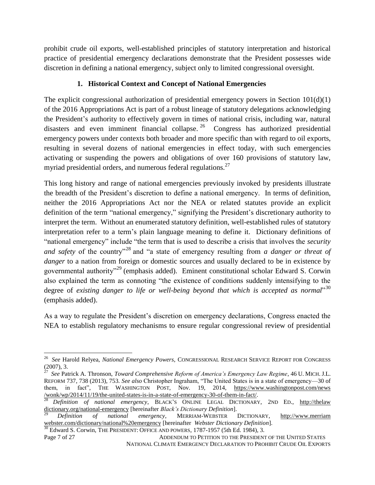prohibit crude oil exports, well-established principles of statutory interpretation and historical practice of presidential emergency declarations demonstrate that the President possesses wide discretion in defining a national emergency, subject only to limited congressional oversight.

## **1. Historical Context and Concept of National Emergencies**

The explicit congressional authorization of presidential emergency powers in Section  $101(d)(1)$ of the 2016 Appropriations Act is part of a robust lineage of statutory delegations acknowledging the President's authority to effectively govern in times of national crisis, including war, natural disasters and even imminent financial collapse.<sup>26</sup> Congress has authorized presidential emergency powers under contexts both broader and more specific than with regard to oil exports, resulting in several dozens of national emergencies in effect today, with such emergencies activating or suspending the powers and obligations of over 160 provisions of statutory law, myriad presidential orders, and numerous federal regulations. $^{27}$ 

This long history and range of national emergencies previously invoked by presidents illustrate the breadth of the President's discretion to define a national emergency. In terms of definition, neither the 2016 Appropriations Act nor the NEA or related statutes provide an explicit definition of the term "national emergency," signifying the President's discretionary authority to interpret the term. Without an enumerated statutory definition, well-established rules of statutory interpretation refer to a term's plain language meaning to define it. Dictionary definitions of "national emergency" include "the term that is used to describe a crisis that involves the *security and safety* of the country<sup>"28</sup> and "a state of emergency resulting from *a danger or threat of danger* to a nation from foreign or domestic sources and usually declared to be in existence by governmental authority<sup>329</sup> (emphasis added). Eminent constitutional scholar Edward S. Corwin also explained the term as connoting "the existence of conditions suddenly intensifying to the degree of *existing danger to life or well-being beyond that which is accepted as normal*" 30 (emphasis added).

As a way to regulate the President's discretion on emergency declarations, Congress enacted the NEA to establish regulatory mechanisms to ensure regular congressional review of presidential

 26 *See* Harold Relyea, *National Emergency Powers*, CONGRESSIONAL RESEARCH SERVICE REPORT FOR CONGRESS (2007), 3.

<sup>27</sup> *See* Patrick A. Thronson, *Toward Comprehensive Reform of America's Emergency Law Regime*, 46 U. MICH. J.L. REFORM 737, 738 (2013), 753. *See also* Christopher Ingraham, "The United States is in a state of emergency—30 of them, in fact", THE WASHINGTON POST, Nov. 19, 2014, https://www.washingtonpost.com/news /wonk/wp/2014/11/19/the-united-states-is-in-a-state-of-emergency-30-of-them-in-fact/.<br><sup>28</sup> Definition of rational

<sup>28</sup> *Definition of national emergency*, BLACK'S ONLINE LEGAL DICTIONARY, 2ND ED., http://thelaw dictionary.org/national-emergency [hereinafter *Black's Dictionary Definition*].

<sup>29</sup> *Definition of national emergency*, MERRIAM-WEBSTER DICTIONARY, http://www.merriam webster.com/dictionary/national%20emergency [hereinafter *Webster Dictionary Definition*].

Page 7 of 27 ADDENDUM TO PETITION TO THE PRESIDENT OF THE UNITED STATES <sup>30</sup> Edward S. Corwin, THE PRESIDENT: OFFICE AND POWERS, 1787-1957 (5th Ed. 1984), 3.

NATIONAL CLIMATE EMERGENCY DECLARATION TO PROHIBIT CRUDE OIL EXPORTS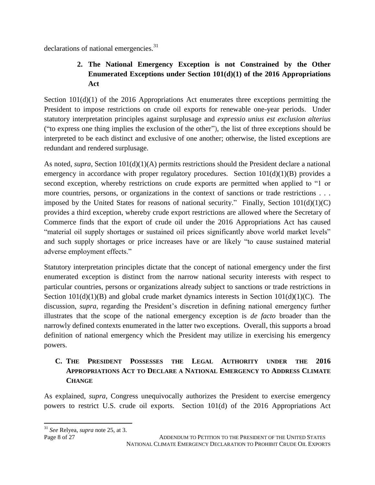declarations of national emergencies.<sup>31</sup>

# **2. The National Emergency Exception is not Constrained by the Other Enumerated Exceptions under Section 101(d)(1) of the 2016 Appropriations Act**

Section 101(d)(1) of the 2016 Appropriations Act enumerates three exceptions permitting the President to impose restrictions on crude oil exports for renewable one-year periods. Under statutory interpretation principles against surplusage and *expressio unius est exclusion alterius*  ("to express one thing implies the exclusion of the other"), the list of three exceptions should be interpreted to be each distinct and exclusive of one another; otherwise, the listed exceptions are redundant and rendered surplusage.

As noted, *supra*, Section 101(d)(1)(A) permits restrictions should the President declare a national emergency in accordance with proper regulatory procedures. Section  $101(d)(1)(B)$  provides a second exception, whereby restrictions on crude exports are permitted when applied to "1 or more countries, persons, or organizations in the context of sanctions or trade restrictions . . . imposed by the United States for reasons of national security." Finally, Section  $101(d)(1)(C)$ provides a third exception, whereby crude export restrictions are allowed where the Secretary of Commerce finds that the export of crude oil under the 2016 Appropriations Act has caused "material oil supply shortages or sustained oil prices significantly above world market levels" and such supply shortages or price increases have or are likely "to cause sustained material adverse employment effects."

Statutory interpretation principles dictate that the concept of national emergency under the first enumerated exception is distinct from the narrow national security interests with respect to particular countries, persons or organizations already subject to sanctions or trade restrictions in Section  $101(d)(1)(B)$  and global crude market dynamics interests in Section  $101(d)(1)(C)$ . The discussion, *supra*, regarding the President's discretion in defining national emergency further illustrates that the scope of the national emergency exception is *de facto* broader than the narrowly defined contexts enumerated in the latter two exceptions. Overall, this supports a broad definition of national emergency which the President may utilize in exercising his emergency powers.

# **C. THE PRESIDENT POSSESSES THE LEGAL AUTHORITY UNDER THE 2016 APPROPRIATIONS ACT TO DECLARE A NATIONAL EMERGENCY TO ADDRESS CLIMATE CHANGE**

As explained, *supra*, Congress unequivocally authorizes the President to exercise emergency powers to restrict U.S. crude oil exports. Section 101(d) of the 2016 Appropriations Act

 $\overline{\phantom{a}}$ <sup>31</sup> *See* Relyea, *supra* note 25, at 3.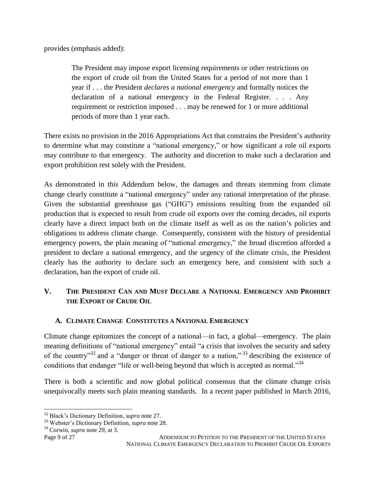provides (emphasis added):

The President may impose export licensing requirements or other restrictions on the export of crude oil from the United States for a period of not more than 1 year if . . . the President *declares a national emergency* and formally notices the declaration of a national emergency in the Federal Register. . . . Any requirement or restriction imposed . . . may be renewed for 1 or more additional periods of more than 1 year each.

There exists no provision in the 2016 Appropriations Act that constrains the President's authority to determine what may constitute a "national emergency," or how significant a role oil exports may contribute to that emergency. The authority and discretion to make such a declaration and export prohibition rest solely with the President.

As demonstrated in this Addendum below, the damages and threats stemming from climate change clearly constitute a "national emergency" under any rational interpretation of the phrase. Given the substantial greenhouse gas ("GHG") emissions resulting from the expanded oil production that is expected to result from crude oil exports over the coming decades, oil exports clearly have a direct impact both on the climate itself as well as on the nation's policies and obligations to address climate change. Consequently, consistent with the history of presidential emergency powers, the plain meaning of "national emergency," the broad discretion afforded a president to declare a national emergency, and the urgency of the climate crisis, the President clearly has the authority to declare such an emergency here, and consistent with such a declaration, ban the export of crude oil.

## **V. THE PRESIDENT CAN AND MUST DECLARE A NATIONAL EMERGENCY AND PROHIBIT THE EXPORT OF CRUDE OIL**

## **A. CLIMATE CHANGE CONSTITUTES A NATIONAL EMERGENCY**

Climate change epitomizes the concept of a national—in fact, a global—emergency. The plain meaning definitions of "national emergency" entail "a crisis that involves the security and safety of the country"<sup>32</sup> and a "danger or threat of danger to a nation,"<sup>33</sup> describing the existence of conditions that endanger "life or well-being beyond that which is accepted as normal."<sup>34</sup>

There is both a scientific and now global political consensus that the climate change crisis unequivocally meets such plain meaning standards. In a recent paper published in March 2016,

<sup>34</sup> Corwin, *supra* note 29, at 3.

 $\overline{\phantom{a}}$ <sup>32</sup> Black's Dictionary Definition, *supra* note 27.

<sup>33</sup> Webster's Dictionary Definition, *supra* note 28.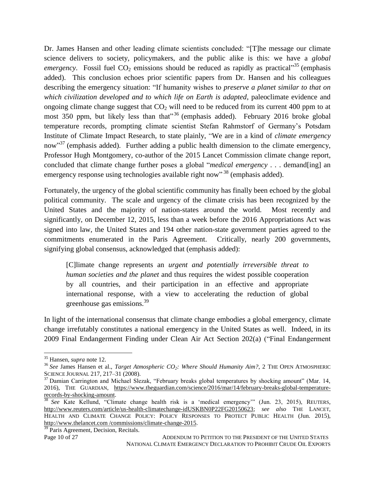Dr. James Hansen and other leading climate scientists concluded: "[T]he message our climate science delivers to society, policymakers, and the public alike is this: we have a *global emergency*. Fossil fuel  $CO_2$  emissions should be reduced as rapidly as practical<sup>35</sup> (emphasis added). This conclusion echoes prior scientific papers from Dr. Hansen and his colleagues describing the emergency situation: "If humanity wishes to *preserve a planet similar to that on which civilization developed and to which life on Earth is adapted*, paleoclimate evidence and ongoing climate change suggest that  $CO<sub>2</sub>$  will need to be reduced from its current 400 ppm to at most 350 ppm, but likely less than that<sup>356</sup> (emphasis added). February 2016 broke global temperature records, prompting climate scientist Stefan Rahmstorf of Germany's Potsdam Institute of Climate Impact Research, to state plainly, "We are in a kind of *climate emergency* now"<sup>37</sup> (emphasis added). Further adding a public health dimension to the climate emergency, Professor Hugh Montgomery, co-author of the 2015 Lancet Commission climate change report, concluded that climate change further poses a global "*medical emergency* . . . demand[ing] an emergency response using technologies available right now"<sup>38</sup> (emphasis added).

Fortunately, the urgency of the global scientific community has finally been echoed by the global political community. The scale and urgency of the climate crisis has been recognized by the United States and the majority of nation-states around the world. Most recently and significantly, on December 12, 2015, less than a week before the 2016 Appropriations Act was signed into law, the United States and 194 other nation-state government parties agreed to the commitments enumerated in the Paris Agreement. Critically, nearly 200 governments, signifying global consensus, acknowledged that (emphasis added):

[C]limate change represents an *urgent and potentially irreversible threat to human societies and the planet* and thus requires the widest possible cooperation by all countries, and their participation in an effective and appropriate international response, with a view to accelerating the reduction of global greenhouse gas emissions.<sup>39</sup>

In light of the international consensus that climate change embodies a global emergency, climate change irrefutably constitutes a national emergency in the United States as well. Indeed, in its 2009 Final Endangerment Finding under Clean Air Act Section 202(a) ("Final Endangerment

l

<sup>35</sup> Hansen, *supra* note 12.

<sup>36</sup> *See* James Hansen et al., *Target Atmospheric CO2: Where Should Humanity Aim?*, 2 THE OPEN ATMOSPHERIC SCIENCE JOURNAL 217, 217–31 (2008).

<sup>&</sup>lt;sup>37</sup> Damian Carrington and Michael Slezak, "February breaks global temperatures by shocking amount" (Mar. 14, 2016), THE GUARDIAN, https://www.theguardian.com/science/2016/mar/14/february-breaks-global-temperaturerecords-by-shocking-amount.

<sup>&</sup>lt;sup>38</sup> See Kate Kellund, "Climate change health risk is a 'medical emergency" (Jun. 23, 2015), REUTERS, http://www.reuters.com/article/us-health-climatechange-idUSKBN0P22FG20150623; *see also* THE LANCET, HEALTH AND CLIMATE CHANGE POLICY: POLICY RESPONSES TO PROTECT PUBLIC HEALTH (Jun. 2015), http://www.thelancet.com /commissions/climate-change-2015.

Page 10 of 27 ADDENDUM TO PETITION TO THE PRESIDENT OF THE UNITED STATES NATIONAL CLIMATE EMERGENCY DECLARATION TO PROHIBIT CRUDE OIL EXPORTS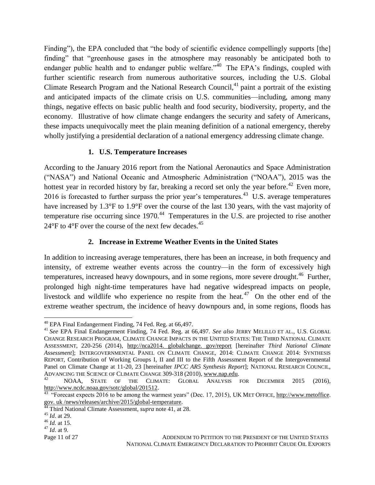Finding"), the EPA concluded that "the body of scientific evidence compellingly supports [the] finding" that "greenhouse gases in the atmosphere may reasonably be anticipated both to endanger public health and to endanger public welfare.<sup> $340$ </sup> The EPA's findings, coupled with further scientific research from numerous authoritative sources, including the U.S. Global Climate Research Program and the National Research Council, $^{41}$  paint a portrait of the existing and anticipated impacts of the climate crisis on U.S. communities—including, among many things, negative effects on basic public health and food security, biodiversity, property, and the economy. Illustrative of how climate change endangers the security and safety of Americans, these impacts unequivocally meet the plain meaning definition of a national emergency, thereby wholly justifying a presidential declaration of a national emergency addressing climate change.

#### **1. U.S. Temperature Increases**

According to the January 2016 report from the National Aeronautics and Space Administration ("NASA") and National Oceanic and Atmospheric Administration ("NOAA"), 2015 was the hottest year in recorded history by far, breaking a record set only the year before.<sup>42</sup> Even more, 2016 is forecasted to further surpass the prior year's temperatures.<sup>43</sup> U.S. average temperatures have increased by 1.3°F to 1.9°F over the course of the last 130 years, with the vast majority of temperature rise occurring since  $1970$ .<sup>44</sup> Temperatures in the U.S. are projected to rise another  $24^{\circ}$ F to  $4^{\circ}$ F over the course of the next few decades.<sup>45</sup>

## **2. Increase in Extreme Weather Events in the United States**

In addition to increasing average temperatures, there has been an increase, in both frequency and intensity, of extreme weather events across the country—in the form of excessively high temperatures, increased heavy downpours, and in some regions, more severe drought.<sup>46</sup> Further, prolonged high night-time temperatures have had negative widespread impacts on people, livestock and wildlife who experience no respite from the heat.<sup>47</sup> On the other end of the extreme weather spectrum, the incidence of heavy downpours and, in some regions, floods has

 $^{40}$  EPA Final Endangerment Finding, 74 Fed. Reg. at 66,497.

<sup>41</sup> *See* EPA Final Endangerment Finding, 74 Fed. Reg. at 66,497. *See also* JERRY MELILLO ET AL., U.S. GLOBAL CHANGE RESEARCH PROGRAM, CLIMATE CHANGE IMPACTS IN THE UNITED STATES: THE THIRD NATIONAL CLIMATE ASSESSMENT, 220-256 (2014), http://nca2014. globalchange. gov/report [hereinafter *Third National Climate Assessment*]; INTERGOVERNMENTAL PANEL ON CLIMATE CHANGE, 2014: CLIMATE CHANGE 2014: SYNTHESIS REPORT, Contribution of Working Groups I, II and III to the Fifth Assessment Report of the Intergovernmental Panel on Climate Change at 11-20, 23 [hereinafter *IPCC AR5 Synthesis Report*]; NATIONAL RESEARCH COUNCIL, ADVANCING THE SCIENCE OF CLIMATE CHANGE 309-318 (2010), www.nap.edu.<br><sup>42</sup> MOAA STATE OF THE CLIMATE: GLOBAL ANALYSIS

NOAA, STATE OF THE CLIMATE: GLOBAL ANALYSIS FOR DECEMBER 2015 (2016), http://www.ncdc.noaa.gov/sotc/global/201512.<br><sup>43</sup> "Forecast expects 2016 to be among the warmest years" (Dec. 17, 2015), UK MET OFFICE, <u>http://www.metoffice</u>.

gov. uk /news/releases/archive/2015/global-temperature.

<sup>&</sup>lt;sup>44</sup> Third National Climate Assessment, *supra* note 41, at 28.

<sup>45</sup> *Id*. at 29.

<sup>46</sup> *Id.* at 15.

<sup>47</sup> *Id*. at 9.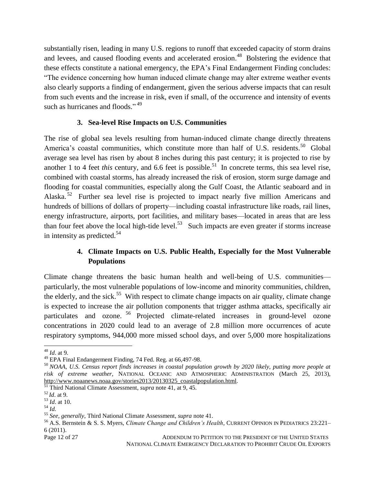substantially risen, leading in many U.S. regions to runoff that exceeded capacity of storm drains and levees, and caused flooding events and accelerated erosion.<sup>48</sup> Bolstering the evidence that these effects constitute a national emergency, the EPA's Final Endangerment Finding concludes: "The evidence concerning how human induced climate change may alter extreme weather events also clearly supports a finding of endangerment, given the serious adverse impacts that can result from such events and the increase in risk, even if small, of the occurrence and intensity of events such as hurricanes and floods."<sup>49</sup>

#### **3. Sea-level Rise Impacts on U.S. Communities**

The rise of global sea levels resulting from human-induced climate change directly threatens America's coastal communities, which constitute more than half of U.S. residents.<sup>50</sup> Global average sea level has risen by about 8 inches during this past century; it is projected to rise by another 1 to 4 feet *this* century, and 6.6 feet is possible.<sup>51</sup> In concrete terms, this sea level rise, combined with coastal storms, has already increased the risk of erosion, storm surge damage and flooding for coastal communities, especially along the Gulf Coast, the Atlantic seaboard and in Alaska.<sup>52</sup> Further sea level rise is projected to impact nearly five million Americans and hundreds of billions of dollars of property—including coastal infrastructure like roads, rail lines, energy infrastructure, airports, port facilities, and military bases—located in areas that are less than four feet above the local high-tide level.<sup>53</sup> Such impacts are even greater if storms increase in intensity as predicted.<sup>54</sup>

## **4. Climate Impacts on U.S. Public Health, Especially for the Most Vulnerable Populations**

Climate change threatens the basic human health and well-being of U.S. communities particularly, the most vulnerable populations of low-income and minority communities, children, the elderly, and the sick.<sup>55</sup> With respect to climate change impacts on air quality, climate change is expected to increase the air pollution components that trigger asthma attacks, specifically air particulates and ozone.<sup>56</sup> Projected climate-related increases in ground-level ozone concentrations in 2020 could lead to an average of 2.8 million more occurrences of acute respiratory symptoms, 944,000 more missed school days, and over 5,000 more hospitalizations

Page 12 of 27 ADDENDUM TO PETITION TO THE PRESIDENT OF THE UNITED STATES NATIONAL CLIMATE EMERGENCY DECLARATION TO PROHIBIT CRUDE OIL EXPORTS

 $\overline{\phantom{a}}$ <sup>48</sup> *Id*. at 9.

<sup>49</sup> EPA Final Endangerment Finding, 74 Fed. Reg. at 66,497-98.

<sup>50</sup> *NOAA, U.S. Census report finds increases in coastal population growth by 2020 likely, putting more people at risk of extreme weather,* NATIONAL OCEANIC AND ATMOSPHERIC ADMINISTRATION (March 25, 2013), http://www.noaanews.noaa.gov/stories2013/20130325\_coastalpopulation.html.

<sup>51</sup> Third National Climate Assessment, *supra* note 41, at 9, 45.

<sup>52</sup> *Id*. at 9.

<sup>53</sup> *Id*. at 10.

<sup>54</sup> *Id.*

<sup>55</sup> *See, generally*, Third National Climate Assessment, *supra* note 41.

<sup>56</sup> A.S. Bernstein & S. S. Myers, *Climate Change and Children's Health*, CURRENT OPINION IN PEDIATRICS 23:221– 6 (2011).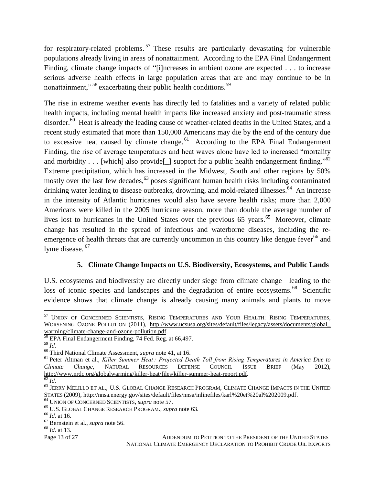for respiratory-related problems.<sup>57</sup> These results are particularly devastating for vulnerable populations already living in areas of nonattainment. According to the EPA Final Endangerment Finding, climate change impacts of "[i]ncreases in ambient ozone are expected . . . to increase serious adverse health effects in large population areas that are and may continue to be in nonattainment,"<sup>58</sup> exacerbating their public health conditions.<sup>59</sup>

The rise in extreme weather events has directly led to fatalities and a variety of related public health impacts, including mental health impacts like increased anxiety and post-traumatic stress disorder.<sup>60</sup> Heat is already the leading cause of weather-related deaths in the United States, and a recent study estimated that more than 150,000 Americans may die by the end of the century due to excessive heat caused by climate change. $^{61}$  According to the EPA Final Endangerment Finding, the rise of average temperatures and heat waves alone have led to increased "mortality and morbidity . . . [which] also provide<sup>[1]</sup> support for a public health endangerment finding.<sup>562</sup> Extreme precipitation, which has increased in the Midwest, South and other regions by 50% mostly over the last few decades,<sup>63</sup> poses significant human health risks including contaminated drinking water leading to disease outbreaks, drowning, and mold-related illnesses.<sup>64</sup> An increase in the intensity of Atlantic hurricanes would also have severe health risks; more than 2,000 Americans were killed in the 2005 hurricane season, more than double the average number of lives lost to hurricanes in the United States over the previous 65 years.<sup>65</sup> Moreover, climate change has resulted in the spread of infectious and waterborne diseases, including the reemergence of health threats that are currently uncommon in this country like dengue fever<sup>66</sup> and lyme disease. <sup>67</sup>

## **5. Climate Change Impacts on U.S. Biodiversity, Ecosystems, and Public Lands**

U.S. ecosystems and biodiversity are directly under siege from climate change—leading to the loss of iconic species and landscapes and the degradation of entire ecosystems.<sup>68</sup> Scientific evidence shows that climate change is already causing many animals and plants to move

l

<sup>57</sup> UNION OF CONCERNED SCIENTISTS, RISING TEMPERATURES AND YOUR HEALTH: RISING TEMPERATURES, WORSENING OZONE POLLUTION (2011), http://www.ucsusa.org/sites/default/files/legacy/assets/documents/global\_ warming/climate-change-and-ozone-pollution.pdf.

<sup>58</sup> EPA Final Endangerment Finding, 74 Fed. Reg. at 66,497.

<sup>59</sup> *Id.*

<sup>60</sup> Third National Climate Assessment, *supra* note 41, at 16.

<sup>61</sup> Peter Altman et al., *Killer Summer Heat : Projected Death Toll from Rising Temperatures in America Due to Climate Change*, NATURAL RESOURCES DEFENSE COUNCIL ISSUE BRIEF (May 2012), http://www.nrdc.org/globalwarming/killer-heat/files/killer-summer-heat-report.pdf.

<sup>62</sup> *Id.*

 $^{63}$  JERRY MELILLO ET AL., U.S. GLOBAL CHANGE RESEARCH PROGRAM, CLIMATE CHANGE IMPACTS IN THE UNITED STATES (2009), http://nnsa.energy.gov/sites/default/files/nnsa/inlinefiles/karl%20et%20al%202009.pdf.

<sup>64</sup> UNION OF CONCERNED SCIENTISTS, *supra* note 57.

<sup>65</sup> U.S. GLOBAL CHANGE RESEARCH PROGRAM., *supra* note 63.

<sup>66</sup> *Id.* at 16.

<sup>67</sup> Bernstein et al., *supra* note 56.

<sup>68</sup> *Id.* at 13.

Page 13 of 27 ADDENDUM TO PETITION TO THE PRESIDENT OF THE UNITED STATES NATIONAL CLIMATE EMERGENCY DECLARATION TO PROHIBIT CRUDE OIL EXPORTS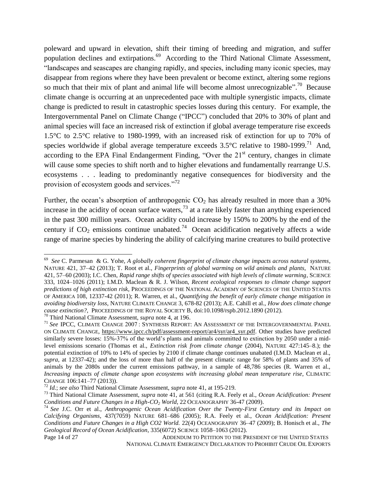poleward and upward in elevation, shift their timing of breeding and migration, and suffer population declines and extirpations.<sup>69</sup> According to the Third National Climate Assessment, "landscapes and seascapes are changing rapidly, and species, including many iconic species, may disappear from regions where they have been prevalent or become extinct, altering some regions so much that their mix of plant and animal life will become almost unrecognizable".<sup>70</sup> Because climate change is occurring at an unprecedented pace with multiple synergistic impacts, climate change is predicted to result in catastrophic species losses during this century. For example, the Intergovernmental Panel on Climate Change ("IPCC") concluded that 20% to 30% of plant and animal species will face an increased risk of extinction if global average temperature rise exceeds 1.5°C to 2.5°C relative to 1980-1999, with an increased risk of extinction for up to 70% of species worldwide if global average temperature exceeds  $3.5^{\circ}$ C relative to 1980-1999.<sup>71</sup> And, according to the EPA Final Endangerment Finding, "Over the  $21<sup>st</sup>$  century, changes in climate will cause some species to shift north and to higher elevations and fundamentally rearrange U.S. ecosystems . . . leading to predominantly negative consequences for biodiversity and the provision of ecosystem goods and services."<sup>72</sup>

Further, the ocean's absorption of anthropogenic  $CO<sub>2</sub>$  has already resulted in more than a 30% increase in the acidity of ocean surface waters,  $^{73}$  at a rate likely faster than anything experienced in the past 300 million years. Ocean acidity could increase by 150% to 200% by the end of the century if  $CO_2$  emissions continue unabated.<sup>74</sup> Ocean acidification negatively affects a wide range of marine species by hindering the ability of calcifying marine creatures to build protective

<sup>70</sup> Third National Climate Assessment, *supra* note 4, at 196.

<sup>69</sup> *See* C. Parmesan & G. Yohe, *A globally coherent fingerprint of climate change impacts across natural systems*, NATURE 421, 37–42 (2013); T. Root et al., *Fingerprints of global warming on wild animals and plants*, NATURE 421, 57–60 (2003); I.C. Chen, *Rapid range shifts of species associated with high levels of climate warming*, SCIENCE 333, 1024–1026 (2011); I.M.D. Maclean & R. J. Wilson, *Recent ecological responses to climate change support predictions of high extinction risk*, PROCEEDINGS OF THE NATIONAL ACADEMY OF SCIENCES OF THE UNITED STATES OF AMERICA 108, 12337-42 (2011); R. Warren, et al., *Quantifying the benefit of early climate change mitigation in avoiding biodiversity loss*, NATURE CLIMATE CHANGE 3, 678-82 (2013); A.E. Cahill et al., *How does climate change cause extinction?*, PROCEEDINGS OF THE ROYAL SOCIETY B, doi:10.1098/rspb.2012.1890 (2012).

<sup>71</sup> *See* IPCC, CLIMATE CHANGE 2007 : SYNTHESIS REPORT: AN ASSESSMENT OF THE INTERGOVERNMENTAL PANEL ON CLIMATE CHANGE, https://www.ipcc.ch/pdf/assessment-report/ar4/syr/ar4\_syr.pdf. Other studies have predicted similarly severe losses: 15%-37% of the world's plants and animals committed to extinction by 2050 under a midlevel emissions scenario (Thomas et al., *Extinction risk from climate change* (2004), NATURE 427:145–8.); the potential extinction of 10% to 14% of species by 2100 if climate change continues unabated (I.M.D. Maclean et al., *supra*, at 12337-42); and the loss of more than half of the present climatic range for 58% of plants and 35% of animals by the 2080s under the current emissions pathway, in a sample of 48,786 species (R. Warren et al., *Increasing impacts of climate change upon ecosystems with increasing global mean temperature rise*, CLIMATIC CHANGE 106:141–77 (2013)).

<sup>72</sup> *Id.*; *see also* Third National Climate Assessment, *supra* note 41, at 195-219.

<sup>73</sup> Third National Climate Assessment, *supra* note 41, at 561 (citing R.A. Feely et al., *Ocean Acidification: Present Conditions and Future Changes in a High-CO<sup>2</sup> World*, 22 OCEANOGRAPHY 36-47 (2009).

<sup>74</sup> *See* J.C. Orr et al., *Anthropogenic Ocean Acidification Over the Twenty-First Century and its Impact on Calcifying Organisms*, 437(7059) NATURE 681–686 (2005); R.A. Feely et al., *Ocean Acidification: Present Conditions and Future Changes in a High CO2 World.* 22(4) OCEANOGRAPHY 36–47 (2009); B. Honisch et al., *The Geological Record of Ocean Acidification*, 335(6072) SCIENCE 1058–1063 (2012).

Page 14 of 27 ADDENDUM TO PETITION TO THE PRESIDENT OF THE UNITED STATES NATIONAL CLIMATE EMERGENCY DECLARATION TO PROHIBIT CRUDE OIL EXPORTS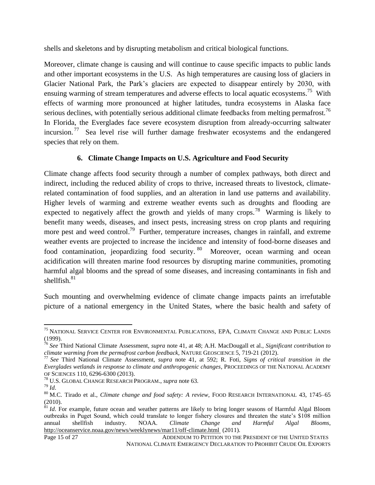shells and skeletons and by disrupting metabolism and critical biological functions.

Moreover, climate change is causing and will continue to cause specific impacts to public lands and other important ecosystems in the U.S. As high temperatures are causing loss of glaciers in Glacier National Park, the Park's glaciers are expected to disappear entirely by 2030, with ensuing warming of stream temperatures and adverse effects to local aquatic ecosystems.<sup>75</sup> With effects of warming more pronounced at higher latitudes, tundra ecosystems in Alaska face serious declines, with potentially serious additional climate feedbacks from melting permafrost.<sup>76</sup> In Florida, the Everglades face severe ecosystem disruption from already-occurring saltwater incursion.<sup>77</sup> Sea level rise will further damage freshwater ecosystems and the endangered species that rely on them.

## **6. Climate Change Impacts on U.S. Agriculture and Food Security**

Climate change affects food security through a number of complex pathways, both direct and indirect, including the reduced ability of crops to thrive, increased threats to livestock, climaterelated contamination of food supplies, and an alteration in land use patterns and availability. Higher levels of warming and extreme weather events such as droughts and flooding are expected to negatively affect the growth and yields of many crops.<sup>78</sup> Warming is likely to benefit many weeds, diseases, and insect pests, increasing stress on crop plants and requiring more pest and weed control.<sup>79</sup> Further, temperature increases, changes in rainfall, and extreme weather events are projected to increase the incidence and intensity of food-borne diseases and food contamination, jeopardizing food security. <sup>80</sup> Moreover, ocean warming and ocean acidification will threaten marine food resources by disrupting marine communities, promoting harmful algal blooms and the spread of some diseases, and increasing contaminants in fish and shellfish. 81

Such mounting and overwhelming evidence of climate change impacts paints an irrefutable picture of a national emergency in the United States, where the basic health and safety of

l <sup>75</sup> NATIONAL SERVICE CENTER FOR ENVIRONMENTAL PUBLICATIONS, EPA, CLIMATE CHANGE AND PUBLIC LANDS (1999).

<sup>76</sup> *See* Third National Climate Assessment, *supra* note 41, at 48; A.H. MacDougall et al., *Significant contribution to climate warming from the permafrost carbon feedback*, NATURE GEOSCIENCE 5, 719-21 (2012).

<sup>77</sup> *See* Third National Climate Assessment, *supra* note 41, at 592; R. Foti, *Signs of critical transition in the Everglades wetlands in response to climate and anthropogenic changes*, PROCEEDINGS OF THE NATIONAL ACADEMY OF SCIENCES 110, 6296-6300 (2013).

<sup>78</sup> U.S. GLOBAL CHANGE RESEARCH PROGRAM., *supra* note 63.

<sup>79</sup> *Id*.

<sup>80</sup> M.C. Tirado et al., *Climate change and food safety: A review*, FOOD RESEARCH INTERNATIONAL 43, 1745–65 (2010).

<sup>&</sup>lt;sup>81</sup> *Id.* For example, future ocean and weather patterns are likely to bring longer seasons of Harmful Algal Bloom outbreaks in Puget Sound, which could translate to longer fishery closures and threaten the state's \$108 million annual shellfish industry. NOAA. *Climate Change and Harmful Algal Blooms*, http://oceanservice.noaa.gov/news/weeklynews/mar11/off-climate.html (2011).

Page 15 of 27 ADDENDUM TO PETITION TO THE PRESIDENT OF THE UNITED STATES NATIONAL CLIMATE EMERGENCY DECLARATION TO PROHIBIT CRUDE OIL EXPORTS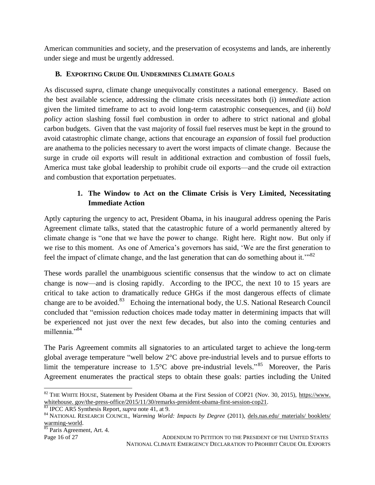American communities and society, and the preservation of ecosystems and lands, are inherently under siege and must be urgently addressed.

## **B. EXPORTING CRUDE OIL UNDERMINES CLIMATE GOALS**

As discussed *supra*, climate change unequivocally constitutes a national emergency. Based on the best available science, addressing the climate crisis necessitates both (i) *immediate* action given the limited timeframe to act to avoid long-term catastrophic consequences, and (ii) *bold policy* action slashing fossil fuel combustion in order to adhere to strict national and global carbon budgets. Given that the vast majority of fossil fuel reserves must be kept in the ground to avoid catastrophic climate change, actions that encourage an *expansion* of fossil fuel production are anathema to the policies necessary to avert the worst impacts of climate change. Because the surge in crude oil exports will result in additional extraction and combustion of fossil fuels, America must take global leadership to prohibit crude oil exports—and the crude oil extraction and combustion that exportation perpetuates.

## **1. The Window to Act on the Climate Crisis is Very Limited, Necessitating Immediate Action**

Aptly capturing the urgency to act, President Obama, in his inaugural address opening the Paris Agreement climate talks, stated that the catastrophic future of a world permanently altered by climate change is "one that we have the power to change. Right here. Right now. But only if we rise to this moment. As one of America's governors has said, 'We are the first generation to feel the impact of climate change, and the last generation that can do something about it.<sup>"82</sup>

These words parallel the unambiguous scientific consensus that the window to act on climate change is now—and is closing rapidly. According to the IPCC, the next 10 to 15 years are critical to take action to dramatically reduce GHGs if the most dangerous effects of climate change are to be avoided.<sup>83</sup> Echoing the international body, the U.S. National Research Council concluded that "emission reduction choices made today matter in determining impacts that will be experienced not just over the next few decades, but also into the coming centuries and millennia."<sup>84</sup>

The Paris Agreement commits all signatories to an articulated target to achieve the long-term global average temperature "well below 2°C above pre-industrial levels and to pursue efforts to limit the temperature increase to  $1.5^{\circ}$ C above pre-industrial levels.<sup>85</sup> Moreover, the Paris Agreement enumerates the practical steps to obtain these goals: parties including the United

```
85 Paris Agreement, Art. 4.
```
Page 16 of 27 ADDENDUM TO PETITION TO THE PRESIDENT OF THE UNITED STATES NATIONAL CLIMATE EMERGENCY DECLARATION TO PROHIBIT CRUDE OIL EXPORTS

 $\overline{\phantom{a}}$  $82$  THE WHITE HOUSE, Statement by President Obama at the First Session of COP21 (Nov. 30, 2015), [https://www.](https://www/) whitehouse. gov/the-press-office/2015/11/30/remarks-president-obama-first-session-cop21.

<sup>83</sup> IPCC AR5 Synthesis Report, *supra* note 41, at 9.

<sup>&</sup>lt;sup>84</sup> NATIONAL RESEARCH COUNCIL, *Warming World: Impacts by Degree* (2011), dels.nas.edu/ materials/ booklets/ warming-world.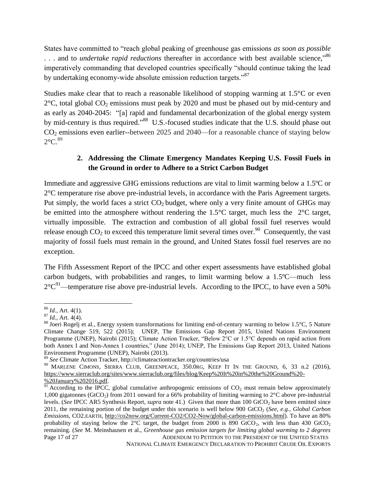States have committed to "reach global peaking of greenhouse gas emissions *as soon as possible* ... and to *undertake rapid reductions* thereafter in accordance with best available science,"<sup>86</sup> imperatively commanding that developed countries specifically "should continue taking the lead by undertaking economy-wide absolute emission reduction targets."<sup>87</sup>

Studies make clear that to reach a reasonable likelihood of stopping warming at 1.5°C or even  $2^{\circ}$ C, total global CO<sub>2</sub> emissions must peak by 2020 and must be phased out by mid-century and as early as 2040-2045: "[a] rapid and fundamental decarbonization of the global energy system by mid-century is thus required."<sup>88</sup> U.S.-focused studies indicate that the U.S. should phase out CO<sup>2</sup> emissions even earlier--between 2025 and 2040—for a reasonable chance of staying below  $2^{\circ}$ C.<sup>89</sup>

## **2. Addressing the Climate Emergency Mandates Keeping U.S. Fossil Fuels in the Ground in order to Adhere to a Strict Carbon Budget**

Immediate and aggressive GHG emissions reductions are vital to limit warming below a 1.5ºC or 2°C temperature rise above pre-industrial levels, in accordance with the Paris Agreement targets. Put simply, the world faces a strict  $CO<sub>2</sub>$  budget, where only a very finite amount of GHGs may be emitted into the atmosphere without rendering the 1.5°C target, much less the 2°C target, virtually impossible. The extraction and combustion of all global fossil fuel reserves would release enough  $CO_2$  to exceed this temperature limit several times over.<sup>90</sup> Consequently, the vast majority of fossil fuels must remain in the ground, and United States fossil fuel reserves are no exception.

The Fifth Assessment Report of the IPCC and other expert assessments have established global carbon budgets, with probabilities and ranges, to limit warming below a 1.5ºC—much less  $2^{\circ}C^{91}$ —temperature rise above pre-industrial levels. According to the IPCC, to have even a 50%

 $\overline{\phantom{a}}$ <sup>86</sup> *Id.*, Art. 4(1).

 $^{87}$  *Id.*, Art. 4(4).

<sup>88</sup> Joeri Rogelj et al*.*, Energy system transformations for limiting end-of-century warming to below 1.5°C, 5 Nature Climate Change 519, 522 (2015); UNEP, The Emissions Gap Report 2015, United Nations Environment Programme (UNEP), Nairobi (2015); Climate Action Tracker, "Below 2°C or 1.5°C depends on rapid action from both Annex I and Non-Annex I countries," (June 2014); UNEP, The Emissions Gap Report 2013, United Nations Environment Programme (UNEP), Nairobi (2013).

<sup>89</sup> *See* Climate Action Tracker, http://climateactiontracker.org/countries/usa

<sup>&</sup>lt;sup>90</sup> MARLENE CIMONS, SIERRA CLUB, GREENPEACE, 350.0RG, KEEP IT IN THE GROUND, 6, 33 n.2 (2016), https://www.sierraclub.org/sites/www.sierraclub.org/files/blog/Keep%20It%20in%20the%20Ground%20- %20January%202016.pdf.

Page 17 of 27 ADDENDUM TO PETITION TO THE PRESIDENT OF THE UNITED STATES  $\frac{91}{91}$  According to the IPCC, global cumulative anthropogenic emissions of CO<sub>2</sub> must remain below approximately 1,000 gigatonnes (GtCO2) from 2011 onward for a 66% probability of limiting warming to 2°C above pre-industrial levels. (*See* IPCC AR5 Synthesis Report, *supra* note 41.) Given that more than 100 GtCO<sub>2</sub> have been emitted since 2011, the remaining portion of the budget under this scenario is well below 900 GtCO<sub>2</sub> (*See, e.g., Global Carbon*) *Emissions*, CO2.EARTH, http://co2now.org/Current-CO2/CO2-Now/global-carbon-emissions.html). To have an 80% probability of staying below the  $2^{\circ}$ C target, the budget from 2000 is 890 GtCO<sub>2</sub>, with less than 430 GtCO<sub>2</sub> remaining. (*See* M. Meinshausen et al., *Greenhouse gas emission targets for limiting global warming to 2 degrees*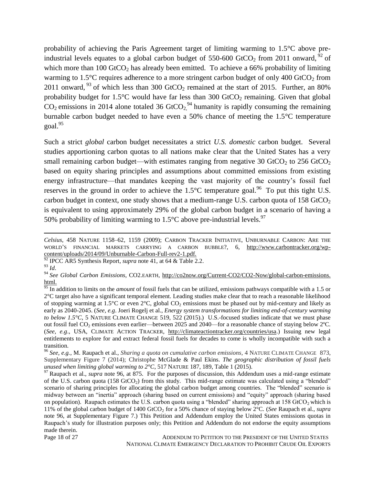probability of achieving the Paris Agreement target of limiting warming to 1.5°C above preindustrial levels equates to a global carbon budget of 550-600 GtCO<sub>2</sub> from 2011 onward, <sup>92</sup> of which more than 100 GtCO<sub>2</sub> has already been emitted. To achieve a 66% probability of limiting warming to 1.5 $^{\circ}$ C requires adherence to a more stringent carbon budget of only 400 GtCO<sub>2</sub> from 2011 onward, <sup>93</sup> of which less than 300 GtCO<sub>2</sub> remained at the start of 2015. Further, an 80% probability budget for  $1.5^{\circ}$ C would have far less than 300 GtCO<sub>2</sub> remaining. Given that global  $CO_2$  emissions in 2014 alone totaled 36 GtCO<sub>2</sub><sup>94</sup> humanity is rapidly consuming the remaining burnable carbon budget needed to have even a 50% chance of meeting the 1.5°C temperature goal. 95

Such a strict *global* carbon budget necessitates a strict *U.S. domestic* carbon budget. Several studies apportioning carbon quotas to all nations make clear that the United States has a very small remaining carbon budget—with estimates ranging from negative 30  $GtCO<sub>2</sub>$  to 256  $GtCO<sub>2</sub>$ based on equity sharing principles and assumptions about committed emissions from existing energy infrastructure—that mandates keeping the vast majority of the country's fossil fuel reserves in the ground in order to achieve the  $1.5^{\circ}$ C temperature goal.<sup>96</sup> To put this tight U.S. carbon budget in context, one study shows that a medium-range U.S. carbon quota of 158 GtCO<sub>2</sub> is equivalent to using approximately 29% of the global carbon budget in a scenario of having a 50% probability of limiting warming to  $1.5^{\circ}$ C above pre-industrial levels.<sup>97</sup>

 $\overline{\phantom{a}}$ 

Page 18 of 27 ADDENDUM TO PETITION TO THE PRESIDENT OF THE UNITED STATES NATIONAL CLIMATE EMERGENCY DECLARATION TO PROHIBIT CRUDE OIL EXPORTS

*Celsius*, 458 NATURE 1158–62, 1159 (2009); CARBON TRACKER INITIATIVE, UNBURNABLE CARBON: ARE THE WORLD'S FINANCIAL MARKETS CARRYING A CARBON BUBBLE?, 6, http://www.carbontracker.org/wpcontent/uploads/2014/09/Unburnable-Carbon-Full-rev2-1.pdf.

<sup>92</sup> IPCC AR5 Synthesis Report, *supra* note 41, at 64 & Table 2.2.

<sup>93</sup> *Id*.

<sup>94</sup> *See Global Carbon Emissions*, CO2.EARTH, [http://co2now.org/Current-CO2/CO2-Now/global-carbon-emissions.](http://co2now.org/Current-CO2/CO2-Now/global-carbon-emissions) html.

<sup>&</sup>lt;sup>95</sup> In addition to limits on the *amount* of fossil fuels that can be utilized, emissions pathways compatible with a 1.5 or 2°C target also have a significant temporal element. Leading studies make clear that to reach a reasonable likelihood of stopping warming at 1.5°C or even 2°C, global  $CO_2$  emissions must be phased out by mid-century and likely as early as 2040-2045. (*See, e.g*. Joeri Rogelj et al., *Energy system transformations for limiting end-of-century warming to below 1.5°C*, 5 NATURE CLIMATE CHANGE 519, 522 (2015).) U.S.-focused studies indicate that we must phase out fossil fuel CO<sub>2</sub> emissions even earlier—between 2025 and 2040—for a reasonable chance of staying below 2°C. (*See, e.g*., USA, CLIMATE ACTION TRACKER, http://climateactiontracker.org/countries/usa.) Issuing new legal entitlements to explore for and extract federal fossil fuels for decades to come is wholly incompatible with such a transition.

<sup>96</sup> *See, e.g.*, M. Raupach et al., *Sharing a quota on cumulative carbon emissions*, 4 NATURE CLIMATE CHANGE 873, Supplementary Figure 7 (2014); Christophe McGlade & Paul Ekins. *The geographic distribution of fossil fuels unused when limiting global warming to 2°C*, 517 NATURE 187, 189, Table 1 (2015).

 $97$  Raupach et al., *supra* note 96, at 875. For the purposes of discussion, this Addendum uses a mid-range estimate of the U.S. carbon quota (158 GtCO<sub>2</sub>) from this study. This mid-range estimate was calculated using a "blended" scenario of sharing principles for allocating the global carbon budget among countries. The "blended" scenario is midway between an "inertia" approach (sharing based on current emissions) and "equity" approach (sharing based on population). Raupach estimates the U.S. carbon quota using a "blended" sharing approach at  $158$  GtCO<sub>2</sub> which is 11% of the global carbon budget of 1400 GtCO<sub>2</sub> for a 50% chance of staying below  $2^{\circ}C$ . (*See* Raupach et al., *supra* note 96, at Supplementary Figure 7.) This Petition and Addendum employ the United States emissions quotas in Raupach's study for illustration purposes only; this Petition and Addendum do not endorse the equity assumptions made therein.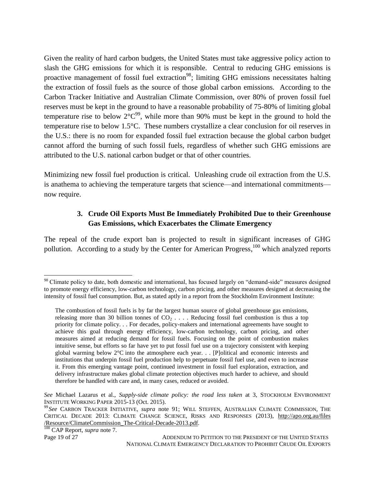Given the reality of hard carbon budgets, the United States must take aggressive policy action to slash the GHG emissions for which it is responsible. Central to reducing GHG emissions is proactive management of fossil fuel extraction<sup>98</sup>; limiting GHG emissions necessitates halting the extraction of fossil fuels as the source of those global carbon emissions. According to the [Carbon Tracker Initiative](http://www.carbontracker.org/wp-content/uploads/downloads/2011/07/Unburnable-Carbon-Full-rev2.pdf) and [Australian Climate Commission,](http://apo.org.au/files/docs/ClimateCommission_The-Critical-Decade-2013.pdf) over 80% of proven fossil fuel reserves must be kept in the ground to have a reasonable probability of 75-80% of limiting global temperature rise to below  $2^{\circ}C^{99}$ , while more than 90% must be kept in the ground to hold the temperature rise to below 1.5°C. These numbers crystallize a clear conclusion for oil reserves in the U.S.: there is no room for expanded fossil fuel extraction because the global carbon budget cannot afford the burning of such fossil fuels, regardless of whether such GHG emissions are attributed to the U.S. national carbon budget or that of other countries.

Minimizing new fossil fuel production is critical. Unleashing crude oil extraction from the U.S. is anathema to achieving the temperature targets that science—and international commitments now require.

## **3. Crude Oil Exports Must Be Immediately Prohibited Due to their Greenhouse Gas Emissions, which Exacerbates the Climate Emergency**

The repeal of the crude export ban is projected to result in significant increases of GHG pollution. According to a study by the Center for American Progress,<sup>100</sup> which analyzed reports

<sup>&</sup>lt;sup>98</sup> Climate policy to date, both domestic and international, has focused largely on "demand-side" measures designed to promote energy efficiency, low-carbon technology, carbon pricing, and other measures designed at decreasing the intensity of fossil fuel consumption. But, as stated aptly in a report from the Stockholm Environment Institute:

The combustion of fossil fuels is by far the largest human source of global greenhouse gas emissions, releasing more than 30 billion tonnes of  $CO<sub>2</sub>$ ... Reducing fossil fuel combustion is thus a top priority for climate policy. . . For decades, policy-makers and international agreements have sought to achieve this goal through energy efficiency, low-carbon technology, carbon pricing, and other measures aimed at reducing demand for fossil fuels. Focusing on the point of combustion makes intuitive sense, but efforts so far have yet to put fossil fuel use on a trajectory consistent with keeping global warming below  $2^{\circ}$ C into the atmosphere each year. . . [P]olitical and economic interests and institutions that underpin fossil fuel production help to perpetuate fossil fuel use, and even to increase it. From this emerging vantage point, continued investment in fossil fuel exploration, extraction, and delivery infrastructure makes global climate protection objectives much harder to achieve, and should therefore be handled with care and, in many cases, reduced or avoided.

*See* Michael Lazarus et al., *Supply-side climate policy: the road less taken* at 3, STOCKHOLM ENVIRONMENT INSTITUTE WORKING PAPER 2015-13 (Oct. 2015).

<sup>99</sup> *See* CARBON TRACKER INITIATIVE, *supra* note 91; WILL STEFFEN, AUSTRALIAN CLIMATE COMMISSION, THE CRITICAL DECADE 2013: CLIMATE CHANGE SCIENCE, RISKS AND RESPONSES (2013), http://apo.org.au/files /Resource/ClimateCommission\_The-Critical-Decade-2013.pdf.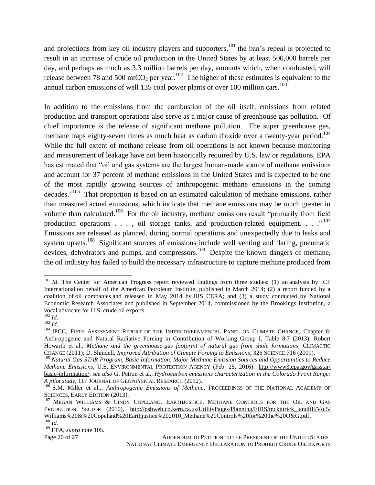and projections from key oil industry players and supporters,  $101$  the ban's repeal is projected to result in an increase of crude oil production in the United States by at least 500,000 barrels per day, and perhaps as much as 3.3 million barrels per day, amounts which, when combusted, will release between 78 and 500 mtCO<sub>2</sub> per year.<sup>102</sup> The higher of these estimates is equivalent to the annual carbon emissions of well 135 coal power plants or over 100 million cars.<sup>103</sup>

In addition to the emissions from the combustion of the oil itself, emissions from related production and transport operations also serve as a major cause of greenhouse gas pollution. Of chief importance is the release of significant methane pollution. The super greenhouse gas, methane traps eighty-seven times as much heat as carbon dioxide over a twenty-year period.<sup>104</sup> While the full extent of methane release from oil operations is not known because monitoring and measurement of leakage have not been historically required by U.S. law or regulations, EPA has estimated that "oil and gas systems are the largest human-made source of methane emissions and account for 37 percent of methane emissions in the United States and is expected to be one of the most rapidly growing sources of anthropogenic methane emissions in the coming decades."<sup>105</sup> That proportion is based on an estimated calculation of methane emissions, rather than measured actual emissions, which indicate that methane emissions may be much greater in volume than calculated.<sup>106</sup> For the oil industry, methane emissions result "primarily from field production operations . . . , oil storage tanks, and production-related equipment. . . .  $\cdot$   $\cdot$   $^{107}$ Emissions are released as planned, during normal operations and unexpectedly due to leaks and system upsets.<sup>108</sup> Significant sources of emissions include well venting and flaring, pneumatic devices, dehydrators and pumps, and compressors.<sup>109</sup> Despite the known dangers of methane, the oil industry has failed to build the necessary infrastructure to capture methane produced from

<sup>&</sup>lt;sup>101</sup> *Id*. The Center for American Progress report reviewed findings from three studies: (1) an analysis by ICF International on behalf of the American Petroleum Institute, published in March 2014; (2) a report funded by a coalition of oil companies and released in May 2014 by IHS CERA; and (3) a study conducted by National Economic Research Associates and published in September 2014, commissioned by the Brookings Institution, a vocal advocate for U.S. crude oil exports.

<sup>102</sup> *Id*.  $\int_{103}^{14}$  *Id.* 

<sup>&</sup>lt;sup>104</sup> IPCC, FIFTH ASSESSMENT REPORT OF THE INTERGOVERNMENTAL PANEL ON CLIMATE CHANGE, Chapter 8: Anthropogenic and Natural Radiative Forcing in Contribution of Working Group I, Table 8.7 (2013); Robert Howarth et al., *Methane and the greenhouse-gas footprint of natural gas from shale formations*, CLIMACTIC CHANGE (2011); D. Shindell, *Improved Attribution of Climate Forcing to Emissions*, 326 SCIENCE 716 (2009).

<sup>105</sup> *Natural Gas STAR Program, Basic Information, Major Methane Emission Sources and Opportunities to Reduce Methane Emissions*, U.S. ENVIRONMENTAL PROTECTION AGENCY (Feb. 25, 2016) http://www3.epa.gov/gasstar/ basic-information/; *see also* G. Petron et al., *Hydrocarbon emissions characterization in the Colorado Front Range: A pilot study*, 117 JOURNAL OF GEOPHYSICAL RESEARCH (2012).

<sup>106</sup> S.M. Miller et al.., *Anthropogenic Emissions of Methane*, PROCEEDINGS OF THE NATIONAL ACADEMY OF SCIENCES, EARLY EDITION (2013).

<sup>&</sup>lt;sup>107</sup> MEGAN WILLIAMS & CINDY COPELAND, EARTHJUSTICE, METHANE CONTROLS FOR THE OIL AND GAS PRODUCTION SECTOR (2010), http://psbweb.co.kern.ca.us/UtilityPages/Planning/EIRS/mckittrick\_landfill/Vol5/ Williams%20&%20Copeland%20Earthjustice%202010\_Methane%20Controls%20for%20the%20O&G.pdf. <sup>108</sup> *Id.*

<sup>109</sup> EPA, *supra* note 105.

Page 20 of 27 ADDENDUM TO PETITION TO THE PRESIDENT OF THE UNITED STATES NATIONAL CLIMATE EMERGENCY DECLARATION TO PROHIBIT CRUDE OIL EXPORTS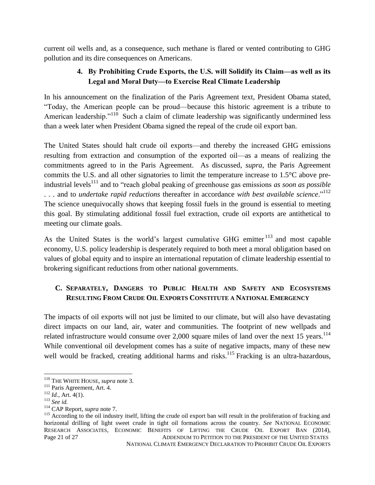current oil wells and, as a consequence, such methane is flared or vented contributing to GHG pollution and its dire consequences on Americans.

## **4. By Prohibiting Crude Exports, the U.S. will Solidify its Claim—as well as its Legal and Moral Duty—to Exercise Real Climate Leadership**

In his announcement on the finalization of the Paris Agreement text, President Obama stated, "Today, the American people can be proud—because this historic agreement is a tribute to American leadership."<sup>110</sup> Such a claim of climate leadership was significantly undermined less than a week later when President Obama signed the repeal of the crude oil export ban.

The United States should halt crude oil exports—and thereby the increased GHG emissions resulting from extraction and consumption of the exported oil—as a means of realizing the commitments agreed to in the Paris Agreement. As discussed, *supra*, the Paris Agreement commits the U.S. and all other signatories to limit the temperature increase to 1.5°C above preindustrial levels<sup>111</sup> and to "reach global peaking of greenhouse gas emissions *as soon as possible* . . . and to *undertake rapid reductions* thereafter in accordance *with best available science*." 112 The science unequivocally shows that keeping fossil fuels in the ground is essential to meeting this goal. By stimulating additional fossil fuel extraction, crude oil exports are antithetical to meeting our climate goals.

As the United States is the world's largest cumulative GHG emitter <sup>113</sup> and most capable economy, U.S. policy leadership is desperately required to both meet a moral obligation based on values of global equity and to inspire an international reputation of climate leadership essential to brokering significant reductions from other national governments.

# **C. SEPARATELY, DANGERS TO PUBLIC HEALTH AND SAFETY AND ECOSYSTEMS RESULTING FROM CRUDE OIL EXPORTS CONSTITUTE A NATIONAL EMERGENCY**

The impacts of oil exports will not just be limited to our climate, but will also have devastating direct impacts on our land, air, water and communities. The footprint of new wellpads and related infrastructure would consume over  $2,000$  square miles of land over the next 15 years.<sup>114</sup> While conventional oil development comes has a suite of negative impacts, many of these new well would be fracked, creating additional harms and risks.<sup>115</sup> Fracking is an ultra-hazardous,

 $\overline{a}$ <sup>110</sup> THE WHITE HOUSE, *supra* note 3.

<sup>&</sup>lt;sup>111</sup> Paris Agreement, Art. 4.

<sup>112</sup> *Id.*, Art. 4(1).

<sup>113</sup> *See id.*

<sup>114</sup> CAP Report, *supra* note 7.

Page 21 of 27 ADDENDUM TO PETITION TO THE PRESIDENT OF THE UNITED STATES <sup>115</sup> According to the oil industry itself, lifting the crude oil export ban will result in the proliferation of fracking and horizontal drilling of light sweet crude in tight oil formations across the country. *See* NATIONAL ECONOMIC RESEARCH ASSOCIATES, ECONOMIC BENEFITS OF LIFTING THE CRUDE OIL EXPORT BAN (2014),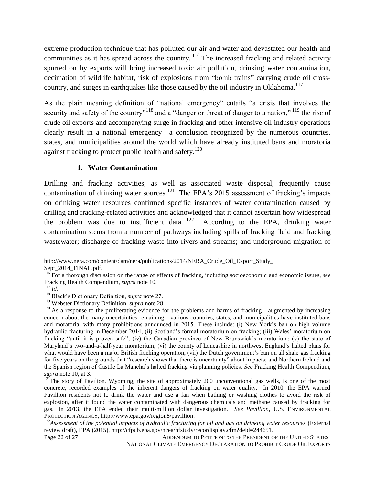extreme production technique that has polluted our air and water and devastated our health and communities as it has spread across the country. <sup>116</sup> The increased fracking and related activity spurred on by exports will bring increased toxic air pollution, drinking water contamination, decimation of wildlife habitat, risk of explosions from "bomb trains" carrying crude oil crosscountry, and surges in earthquakes like those caused by the oil industry in Oklahoma.<sup>117</sup>

As the plain meaning definition of "national emergency" entails "a crisis that involves the security and safety of the country"<sup>118</sup> and a "danger or threat of danger to a nation,"<sup>119</sup> the rise of crude oil exports and accompanying surge in fracking and other intensive oil industry operations clearly result in a national emergency—a conclusion recognized by the numerous countries, states, and municipalities around the world which have already instituted bans and moratoria against fracking to protect public health and safety.<sup>120</sup>

#### **1. Water Contamination**

Drilling and fracking activities, as well as associated waste disposal, frequently cause contamination of drinking water sources.<sup>121</sup> The EPA's 2015 assessment of fracking's impacts on drinking water resources confirmed specific instances of water contamination caused by drilling and fracking-related activities and acknowledged that it cannot ascertain how widespread the problem was due to insufficient data.  $122$  According to the EPA, drinking water contamination stems from a number of pathways including spills of fracking fluid and fracking wastewater; discharge of fracking waste into rivers and streams; and underground migration of

http://www.nera.com/content/dam/nera/publications/2014/NERA\_Crude\_Oil\_Export\_Study\_

Sept\_2014\_FINAL.pdf.

<sup>116</sup> For a thorough discussion on the range of effects of fracking, including socioeconomic and economic issues, *see* Fracking Health Compendium, *supra* note 10.

<sup>117</sup> *Id.*

<sup>118</sup> Black's Dictionary Definition, *supra* note 27.

<sup>119</sup> Webster Dictionary Definition, *supra* note 28.

<sup>&</sup>lt;sup>120</sup> As a response to the proliferating evidence for the problems and harms of fracking—augmented by increasing concern about the many uncertainties remaining—various countries, states, and municipalities have instituted bans and moratoria, with many prohibitions announced in 2015. These include: (i) New York's ban on high volume hydraulic fracturing in December 2014; (ii) Scotland's formal moratorium on fracking; (iii) Wales' moratorium on fracking "until it is proven safe"; (iv) the Canadian province of New Brunswick's moratorium; (v) the state of Maryland's two-and-a-half-year moratorium; (vi) the county of Lancashire in northwest England's halted plans for what would have been a major British fracking operation; (vii) the Dutch government's ban on all shale gas fracking for five years on the grounds that "research shows that there is uncertainty" about impacts; and Northern Ireland and the Spanish region of Castile La Mancha's halted fracking via planning policies. *See* Fracking Health Compendium, *supra* note 10, at 3.

 $121$ The story of Pavilion, Wyoming, the site of approximately 200 unconventional gas wells, is one of the most concrete, recorded examples of the inherent dangers of fracking on water quality. In 2010, the EPA warned Pavillion residents not to drink the water and use a fan when bathing or washing clothes to avoid the risk of explosion, after it found the water contaminated with dangerous chemicals and methane caused by fracking for gas. In 2013, the EPA ended their multi-million dollar investigation. *See Pavillion*, U.S. ENVIRONMENTAL PROTECTION AGENCY, http://www.epa.gov/region8/pavillion.

<sup>&</sup>lt;sup>122</sup>Assessment of the potential impacts of hydraulic fracturing for oil and gas on drinking water resources (External review draft), EPA (2015), http://cfpub.epa.gov/ncea/hfstudy/recordisplay.cfm?deid=244651.

Page 22 of 27 ADDENDUM TO PETITION TO THE PRESIDENT OF THE UNITED STATES NATIONAL CLIMATE EMERGENCY DECLARATION TO PROHIBIT CRUDE OIL EXPORTS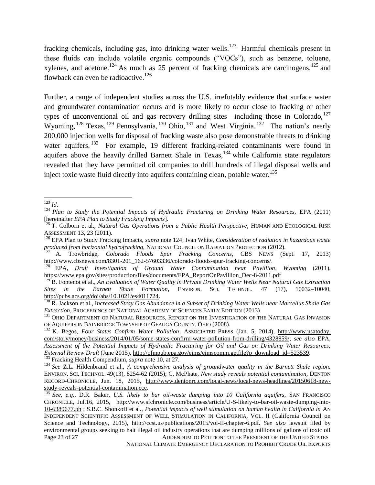fracking chemicals, including gas, into drinking water wells.<sup>123</sup> Harmful chemicals present in these fluids can include volatile organic compounds ("VOCs"), such as benzene, toluene, xylenes, and acetone.<sup>124</sup> As much as 25 percent of fracking chemicals are carcinogens,<sup>125</sup> and flowback can even be radioactive.<sup>126</sup>

Further, a range of independent studies across the U.S. irrefutably evidence that surface water and groundwater contamination occurs and is more likely to occur close to fracking or other types of unconventional oil and gas recovery drilling sites—including those in Colorado, $127$ Wyoming,  $^{128}$  Texas,  $^{129}$  Pennsylvania,  $^{130}$  Ohio,  $^{131}$  and West Virginia.  $^{132}$  The nation's nearly 200,000 injection wells for disposal of fracking waste also pose demonstrable threats to drinking water aquifers.<sup>133</sup> For example, 19 different fracking-related contaminants were found in aquifers above the heavily drilled Barnett Shale in Texas, <sup>134</sup> while California state regulators revealed that they have permitted oil companies to drill hundreds of illegal disposal wells and inject toxic waste fluid directly into aquifers containing clean, potable water.<sup>135</sup>

NATIONAL CLIMATE EMERGENCY DECLARATION TO PROHIBIT CRUDE OIL EXPORTS

l <sup>123</sup> *Id*.

<sup>&</sup>lt;sup>124</sup> Plan to Study the Potential Impacts of Hydraulic Fracturing on Drinking Water Resources, EPA (2011) [hereinafter *EPA Plan to Study Fracking Impacts*].

<sup>&</sup>lt;sup>125</sup> T. Colborn et al., *Natural Gas Operations from a Public Health Perspective*, HUMAN AND ECOLOGICAL RISK ASSESSMENT 13, 23 (2011).

<sup>126</sup> EPA Plan to Study Fracking Impacts, *supra* note 124; Ivan White, *Consideration of radiation in hazardous waste produced from horizontal hydrofracking,* NATIONAL COUNCIL ON RADIATION PROTECTION (2012).

<sup>127</sup> A. Trowbridge, *Colorado Floods Spur Fracking Concerns*, CBS NEWS (Sept. 17, 2013) http://www.cbsnews.com/8301-201\_162-57603336/colorado-floods-spur-fracking-concerns/.

<sup>128</sup> EPA, *Draft Investigation of Ground Water Contamination near Pavillion*, *Wyoming* (2011), https://www.epa.gov/sites/production/files/documents/EPA\_ReportOnPavillion\_Dec-8-2011.pdf

<sup>&</sup>lt;sup>129</sup> B. Fontenot et al., *An Evaluation of Water Quality in Private Drinking Water Wells Near Natural Gas Extraction Sites in the Barnett Shale Formation*, ENVIRON. SCI. TECHNOL. 47 (17), 10032–10040, [http://pubs.acs.org/doi/abs/10.1021/es4011724.](http://pubs.acs.org/doi/abs/10.1021/es4011724)

<sup>130</sup> R. Jackson et al., I*ncreased Stray Gas Abundance in a Subset of Drinking Water Wells near Marcellus Shale Gas Extraction*, PROCEEDINGS OF NATIONAL ACADEMY OF SCIENCES EARLY EDITION (2013).

<sup>&</sup>lt;sup>131</sup> OHIO DEPARTMENT OF NATURAL RESOURCES, REPORT ON THE INVESTIGATION OF THE NATURAL GAS INVASION OF AQUIFERS IN BAINBRIDGE TOWNSHIP OF GEAUGA COUNTY, OHIO (2008).

<sup>132</sup> K. Begos, *Four States Confirm Water Pollution*, ASSOCIATED PRESS (Jan. 5, 2014), http://www.usatoday. com/story/money/business/2014/01/05/some-states-confirm-water-pollution-from-drilling/4328859/; *see also* EPA, *Assessment of the Potential Impacts of Hydraulic Fracturing for Oil and Gas on Drinking Water Resources, External Review Draft* (June 2015), [http://ofmpub.epa.gov/eims/eimscomm.getfile?p\\_download\\_id=523539.](http://ofmpub.epa.gov/eims/eimscomm.getfile?p_download_id=523539) <sup>133</sup> Fracking Health Compendium, *supra* note 10, at 27.

<sup>134</sup> *See* Z.L. Hildenbrand et al., *A comprehensive analysis of groundwater quality in the Barnett Shale region.* ENVIRON. SCI. TECHNOL. 49(13), 8254-62 (2015); C. McPhate, *New study reveals potential contamination,* DENTON RECORD-CHRONICLE, Jun. 18, 2015, http://www.dentonrc.com/local-news/local-news-headlines/20150618-newstudy-reveals-potential-contamination.ece.

Page 23 of 27 ADDENDUM TO PETITION TO THE PRESIDENT OF THE UNITED STATES <sup>135</sup> *See, e.g*., D.R. Baker, *U.S. likely to bar oil-waste dumping into 10 California aquifers*, SAN FRANCISCO CHRONICLE, Jul.16, 2015, http://www.sfchronicle.com/business/article/U-S-likely-to-bar-oil-waste-dumping-into-10-6389677.ph ; S.B.C. Shonkoff et al., *Potential impacts of well stimulation on human health in California in* AN INDEPENDENT SCIENTIFIC ASSESSMENT OF WELL STIMULATION IN CALIFORNIA, VOL. II (California Council on Science and Technology, 2015), <http://ccst.us/publications/2015/vol-II-chapter-6.pdf>*. See also* lawsuit filed by environmental groups seeking to halt illegal oil industry operations that are dumping millions of gallons of toxic oil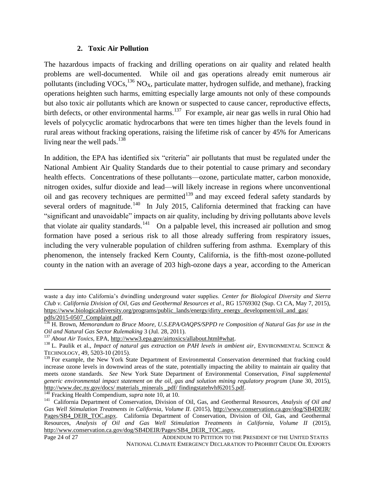#### **2. Toxic Air Pollution**

The hazardous impacts of fracking and drilling operations on air quality and related health problems are well-documented. While oil and gas operations already emit numerous air pollutants (including VOCs,  $^{136}$  NO<sub>X</sub>, particulate matter, hydrogen sulfide, and methane), fracking operations heighten such harms, emitting especially large amounts not only of these compounds but also toxic air pollutants which are known or suspected to cause cancer, reproductive effects, birth defects, or other environmental harms.<sup>137</sup> For example, air near gas wells in rural Ohio had levels of polycyclic aromatic hydrocarbons that were ten times higher than the levels found in rural areas without fracking operations, raising the lifetime risk of cancer by 45% for Americans living near the well pads.<sup>138</sup>

In addition, the EPA has identified six "criteria" air pollutants that must be regulated under the National Ambient Air Quality Standards due to their potential to cause primary and secondary health effects. Concentrations of these pollutants—ozone, particulate matter, carbon monoxide, nitrogen oxides, sulfur dioxide and lead—will likely increase in regions where unconventional oil and gas recovery techniques are permitted $139$  and may exceed federal safety standards by several orders of magnitude.<sup>140</sup> In July 2015, California determined that fracking can have "significant and unavoidable" impacts on air quality, including by driving pollutants above levels that violate air quality standards.<sup>141</sup> On a palpable level, this increased air pollution and smog formation have posed a serious risk to all those already suffering from respiratory issues, including the very vulnerable population of children suffering from asthma. Exemplary of this phenomenon, the intensely fracked Kern County, California, is the fifth-most ozone-polluted county in the nation with an average of 203 high-ozone days a year, according to the American

 $\overline{a}$ 

waste a day into California's dwindling underground water supplies. *Center for Biological Diversity and Sierra Club v. California Division of Oil, Gas and Geothermal Resources et al*., RG 15769302 (Sup. Ct CA, May 7, 2015), [https://www.biologicaldiversity.org/programs/public\\_lands/energy/dirty\\_energy\\_d](https://www.biologicaldiversity.org/programs/public_lands/energy/dirty_energy_)evelopment/oil\_and\_gas/

pdfs/2015-0507\_Complaint.pdf.

<sup>136</sup> H. Brown, *Memorandum to Bruce Moore, U.S.EPA/OAQPS/SPPD re Composition of Natural Gas for use in the Oil and Natural Gas Sector Rulemaking* 3 (Jul. 28, 2011).

<sup>137</sup> *About Air Toxics*, EPA, [http://www3.epa.gov/airtoxics/allabout.html#what.](http://www3.epa.gov/airtoxics/allabout.html#what)

<sup>&</sup>lt;sup>138</sup> L. Paulik et al., *Impact of natural gas extraction on PAH levels in ambient air*, ENVIRONMENTAL SCIENCE & TECHNOLOGY, 49, 5203-10 (2015).

<sup>&</sup>lt;sup>139</sup> For example, the New York State Department of Environmental Conservation determined that fracking could increase ozone levels in downwind areas of the state, potentially impacting the ability to maintain air quality that meets ozone standards. *See* New York State Department of Environmental Conservation, *Final supplemental generic environmental impact statement on the oil, gas and solution mining regulatory program* (June 30, 2015), http://www.dec.ny.gov/docs/ materials\_minerals\_pdf/ findingstatehvhf62015.pdf.

<sup>140</sup> Fracking Health Compendium, *supra* note 10, at 10.

<sup>141</sup> California Department of Conservation, Division of Oil, Gas, and Geothermal Resources, *Analysis of Oil and*  Gas Well Stimulation Treatments in California, Volume II. (2015),<http://www.conservation.ca.gov/dog/SB4DEIR/> Pages/SB4\_DEIR\_TOC.aspx. California Department of Conservation, Division of Oil, Gas, and Geothermal Resources, *Analysis of Oil and Gas Well Stimulation Treatments in California, Volume II* (2015), http://www.conservation.ca.gov/dog/SB4DEIR/Pages/SB4\_DEIR\_TOC.aspx.

Page 24 of 27 ADDENDUM TO PETITION TO THE PRESIDENT OF THE UNITED STATES NATIONAL CLIMATE EMERGENCY DECLARATION TO PROHIBIT CRUDE OIL EXPORTS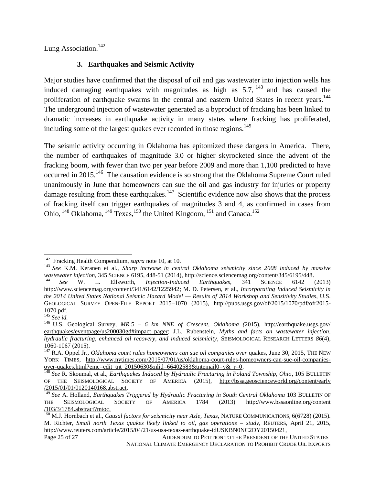Lung Association.<sup>142</sup>

## **3. Earthquakes and Seismic Activity**

Major studies have confirmed that the disposal of oil and gas wastewater into injection wells has induced damaging earthquakes with magnitudes as high as  $5.7$ ,  $^{143}$  and has caused the proliferation of earthquake swarms in the central and eastern United States in recent years.<sup>144</sup> The underground injection of wastewater generated as a byproduct of fracking has been linked to dramatic increases in earthquake activity in many states where fracking has proliferated, including some of the largest quakes ever recorded in those regions.<sup>145</sup>

The seismic activity occurring in Oklahoma has epitomized these dangers in America. There, the number of earthquakes of magnitude 3.0 or higher skyrocketed since the advent of the fracking boom, with fewer than two per year before 2009 and more than 1,100 predicted to have occurred in 2015.<sup>146</sup> The causation evidence is so strong that the Oklahoma Supreme Court ruled unanimously in June that homeowners can sue the oil and gas industry for injuries or property damage resulting from these earthquakes.<sup>147</sup> Scientific evidence now also shows that the process of fracking itself can trigger earthquakes of magnitudes 3 and 4, as confirmed in cases from Ohio,  $^{148}$  Oklahoma,  $^{149}$  Texas,  $^{150}$  the United Kingdom,  $^{151}$  and Canada.<sup>152</sup>

 142 Fracking Health Compendium, *supra* note 10, at 10.

<sup>143</sup> *See* K.M. Keranen et al., *Sharp increase in central Oklahoma seismicity since 2008 induced by massive wastewater injection*, 345 SCIENCE 6195, 448-51 (2014), http://science.sciencemag.org/content/345/6195/448.

<sup>144</sup> *See* W. L. Ellsworth, *Injection-Induced Earthquakes*, 341 SCIENCE 6142 (2013) [http://www.sciencemag.org/content/341/6142/1225942;](http://www.sciencemag.org/content/341/6142/1225942) M. D. Petersen, et al., *Incorporating Induced Seismicity in the 2014 United States National Seismic Hazard Model — Results of 2014 Workshop and Sensitivity Studies*, U.S. GEOLOGICAL SURVEY OPEN-FILE REPORT 2015–1070 (2015), [http://pubs.usgs.gov/of/2015/1070/pdf/ofr2015-](http://pubs.usgs.gov/of/2015/1070/pdf/ofr2015-1070.pdf) [1070.pdf.](http://pubs.usgs.gov/of/2015/1070/pdf/ofr2015-1070.pdf)

<sup>145</sup> *See id.*

<sup>146</sup> U.S. Geological Survey, *MR.5 – 6 km NNE of Crescent, Oklahoma (*2015), http://earthquake.usgs.gov/ earthquakes/eventpage/us200030gd#impact\_pager; J.L. Rubenstein, *Myths and facts on wastewater injection*, *hydraulic fracturing, enhanced oil recovery, and induced seismicity*, SEISMOLOGICAL RESEARCH LETTERS *86*(4), 1060-1067 (2015).

<sup>&</sup>lt;sup>147</sup> R.A. Oppel Jr., *Oklahoma court rules homeowners can sue oil companies over quakes, June 30, 2015, THE NEW* YORK TIMES, http://www.nytimes.com/2015/07/01/us/oklahoma-court-rules-homeowners-can-sue-oil-companiesover-quakes.html?emc=edit\_tnt\_20150630&nlid=66402583&tntemail0=y&\_r=0.

<sup>148</sup> *See* R. Skoumal, et al., *Earthquakes Induced by Hydraulic Fracturing in Poland Township, Ohio*, 105 BULLETIN OF THE SEISMOLOGICAL SOCIETY OF AMERICA (2015), http://bssa.geoscienceworld.org/content/early /2015/01/01/0120140168.abstract.

<sup>149</sup> *See* A. Holland, *Earthquakes Triggered by Hydraulic Fracturing in South Central Oklahoma* 103 BULLETIN OF THE SEISMOLOGICAL SOCIETY OF AMERICA 1784 (2013) [http://www.bssaonline.](http://www.bssaonline/)org/content /103/3/1784.abstract?mtoc.

<sup>150</sup> M.J. Hornbach et al., *Causal factors for seismicity near Azle, Texas*, NATURE COMMUNICATIONS, 6(6728) (2015). M. Richter, *Small north Texas quakes likely linked to oil, gas operations – study*, REUTERS*,* April 21, 2015, http://www.reuters.com/article/2015/04/21/us-usa-texas-earthquake-idUSKBN0NC2DY20150421,

Page 25 of 27 ADDENDUM TO PETITION TO THE PRESIDENT OF THE UNITED STATES NATIONAL CLIMATE EMERGENCY DECLARATION TO PROHIBIT CRUDE OIL EXPORTS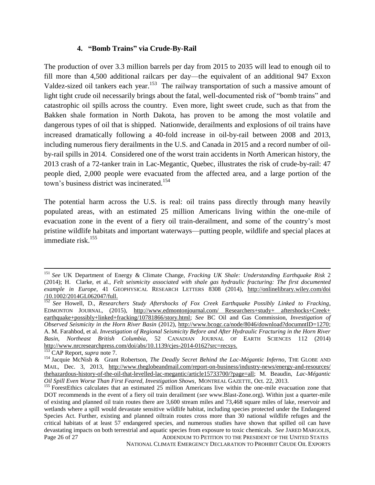#### **4. "Bomb Trains" via Crude-By-Rail**

The production of over 3.3 million barrels per day from 2015 to 2035 will lead to enough oil to fill more than 4,500 additional railcars per day—the equivalent of an additional 947 Exxon Valdez-sized oil tankers each year.<sup>153</sup> The railway transportation of such a massive amount of light tight crude oil necessarily brings about the fatal, well-documented risk of "bomb trains" and catastrophic oil spills across the country. Even more, light sweet crude, such as that from the Bakken shale formation in North Dakota, has proven to be among the most volatile and dangerous types of oil that is shipped. Nationwide, derailments and explosions of oil trains have increased dramatically following a 40-fold increase in oil-by-rail between 2008 and 2013, including numerous fiery derailments in the U.S. and Canada in 2015 and a record number of oilby-rail spills in 2014. Considered one of the worst train accidents in North American history, the 2013 crash of a 72-tanker train in Lac-Megantic, Quebec, illustrates the risk of crude-by-rail: 47 people died, 2,000 people were evacuated from the affected area, and a large portion of the town's business district was incinerated. 154

The potential harm across the U.S. is real: oil trains pass directly through many heavily populated areas, with an estimated 25 million Americans living within the one-mile of evacuation zone in the event of a fiery oil train-derailment, and some of the country's most pristine wildlife habitats and important waterways—putting people, wildlife and special places at immediate risk.<sup>155</sup>

l

NATIONAL CLIMATE EMERGENCY DECLARATION TO PROHIBIT CRUDE OIL EXPORTS

<sup>151</sup> *See* UK Department of Energy & Climate Change, *Fracking UK Shale: Understanding Earthquake Risk* 2 (2014); H. Clarke, et al., *Felt seismicity associated with shale gas hydraulic fracturing: The first documented example in Europe,* 41 GEOPHYSICAL RESEARCH LETTERS 8308 (2014), http://onlinelibrary.wiley.com/doi /10.1002/2014GL062047/full.

<sup>152</sup> *See* Howell, D., *Researchers Study Aftershocks of Fox Creek Earthquake Possibly Linked to Fracking*, EDMONTON JOURNAL, (2015), http://www.edmontonjournal.com/ Researchers+study+ aftershocks+Creek+ earthquake+possibly+linked+fracking/10781866/story.html; *See* BC Oil and Gas Commission, *Investigation of Observed Seismicity in the Horn River Basin* (2012), http://www.bcogc.ca/node/8046/download?documntID=1270; A. M. Farahbod, et al. *Investigation of Regional Seismicity Before and After Hydraulic Fracturing in the Horn River Basin, Northeast British Columbia*, 52 CANADIAN JOURNAL OF EARTH SCIENCES 112 (2014) [http://www.nrcresearchpress.com/doi/abs/10.1139/cjes-2014-0162?src=recsys.](http://www.nrcresearchpress.com/doi/abs/10.1139/cjes-2014-0162?src=recsys)

<sup>153</sup> CAP Report, *supra* note 7.

<sup>154</sup> Jacquie McNish & Grant Robertson, *The Deadly Secret Behind the Lac-Mégantic Inferno*, THE GLOBE AND MAIL, Dec. 3, 2013, http://www.theglobeandmail.com/report-on-business/industry-news/energy-and-resources/ thehazardous-history-of-the-oil-that-levelled-lac-megantic/article15733700/?page=all; M. Beaudin, *Lac-Mégantic Oil Spill Even Worse Than First Feared, Investigation Shows*, MONTREAL GAZETTE, Oct. 22, 2013.

Page 26 of 27 ADDENDUM TO PETITION TO THE PRESIDENT OF THE UNITED STATES <sup>155</sup> ForestEthics calculates that an estimated 25 million Americans live within the one-mile evacuation zone that DOT recommends in the event of a fiery oil train derailment (*see* www.Blast-Zone.org). Within just a quarter-mile of existing and planned oil train routes there are 3,600 stream miles and 73,468 square miles of lake, reservoir and wetlands where a spill would devastate sensitive wildlife habitat, including species protected under the Endangered Species Act. Further, existing and planned oiltrain routes cross more than 30 national wildlife refuges and the critical habitats of at least 57 endangered species, and numerous studies have shown that spilled oil can have devastating impacts on both terrestrial and aquatic species from exposure to toxic chemicals. *See* JARED MARGOLIS,